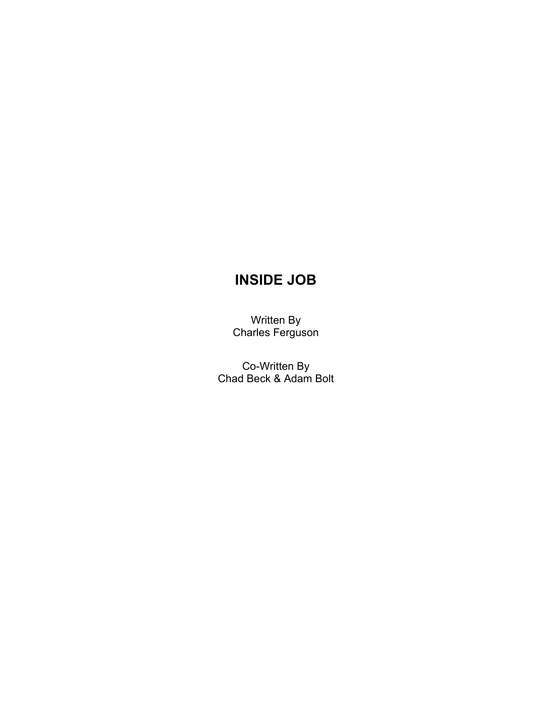# **INSIDE JOB**

Written By Charles Ferguson

Co-Written By Chad Beck & Adam Bolt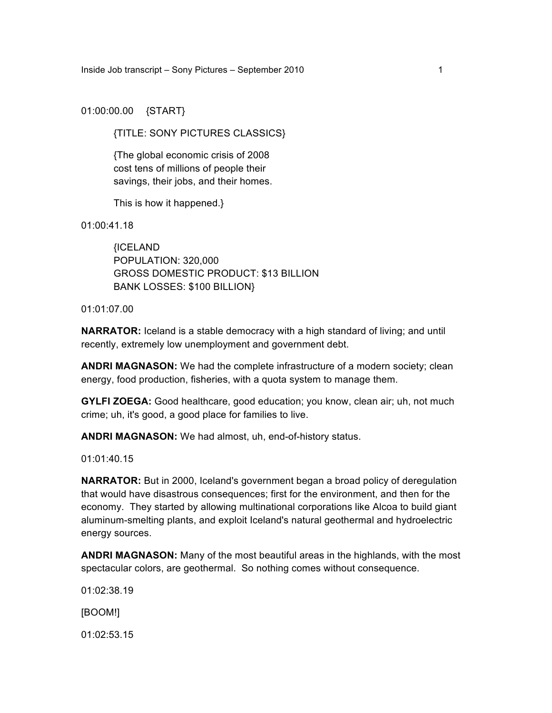01:00:00.00 {START}

{TITLE: SONY PICTURES CLASSICS}

{The global economic crisis of 2008 cost tens of millions of people their savings, their jobs, and their homes.

This is how it happened.}

01:00:41.18

{ICELAND POPULATION: 320,000 GROSS DOMESTIC PRODUCT: \$13 BILLION BANK LOSSES: \$100 BILLION}

01:01:07.00

**NARRATOR:** Iceland is a stable democracy with a high standard of living; and until recently, extremely low unemployment and government debt.

**ANDRI MAGNASON:** We had the complete infrastructure of a modern society; clean energy, food production, fisheries, with a quota system to manage them.

**GYLFI ZOEGA:** Good healthcare, good education; you know, clean air; uh, not much crime; uh, it's good, a good place for families to live.

**ANDRI MAGNASON:** We had almost, uh, end-of-history status.

01:01:40.15

**NARRATOR:** But in 2000, Iceland's government began a broad policy of deregulation that would have disastrous consequences; first for the environment, and then for the economy. They started by allowing multinational corporations like Alcoa to build giant aluminum-smelting plants, and exploit Iceland's natural geothermal and hydroelectric energy sources.

**ANDRI MAGNASON:** Many of the most beautiful areas in the highlands, with the most spectacular colors, are geothermal. So nothing comes without consequence.

01:02:38.19

[BOOM!]

01:02:53.15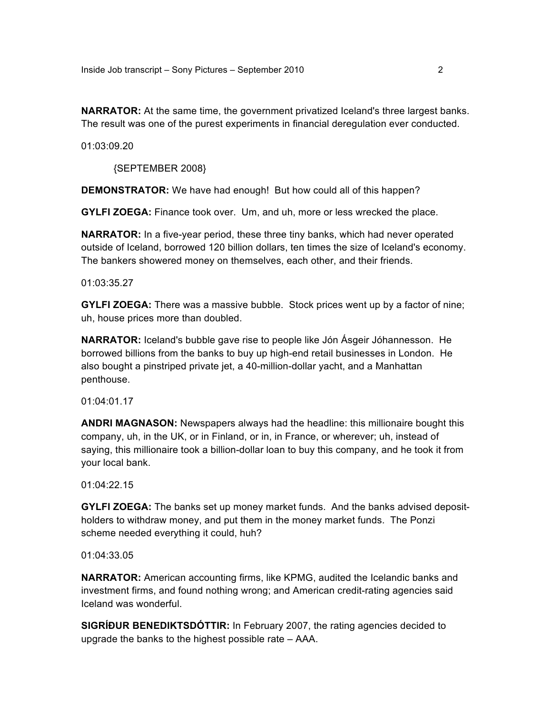**NARRATOR:** At the same time, the government privatized Iceland's three largest banks. The result was one of the purest experiments in financial deregulation ever conducted.

01:03:09.20

{SEPTEMBER 2008}

**DEMONSTRATOR:** We have had enough! But how could all of this happen?

**GYLFI ZOEGA:** Finance took over. Um, and uh, more or less wrecked the place.

**NARRATOR:** In a five-year period, these three tiny banks, which had never operated outside of Iceland, borrowed 120 billion dollars, ten times the size of Iceland's economy. The bankers showered money on themselves, each other, and their friends.

01:03:35.27

**GYLFI ZOEGA:** There was a massive bubble. Stock prices went up by a factor of nine; uh, house prices more than doubled.

**NARRATOR:** Iceland's bubble gave rise to people like Jón Ásgeir Jóhannesson. He borrowed billions from the banks to buy up high-end retail businesses in London. He also bought a pinstriped private jet, a 40-million-dollar yacht, and a Manhattan penthouse.

01:04:01.17

**ANDRI MAGNASON:** Newspapers always had the headline: this millionaire bought this company, uh, in the UK, or in Finland, or in, in France, or wherever; uh, instead of saying, this millionaire took a billion-dollar loan to buy this company, and he took it from your local bank.

01:04:22.15

**GYLFI ZOEGA:** The banks set up money market funds. And the banks advised depositholders to withdraw money, and put them in the money market funds. The Ponzi scheme needed everything it could, huh?

01:04:33.05

**NARRATOR:** American accounting firms, like KPMG, audited the Icelandic banks and investment firms, and found nothing wrong; and American credit-rating agencies said Iceland was wonderful.

**SIGRÍÐUR BENEDIKTSDÓTTIR:** In February 2007, the rating agencies decided to upgrade the banks to the highest possible rate – AAA.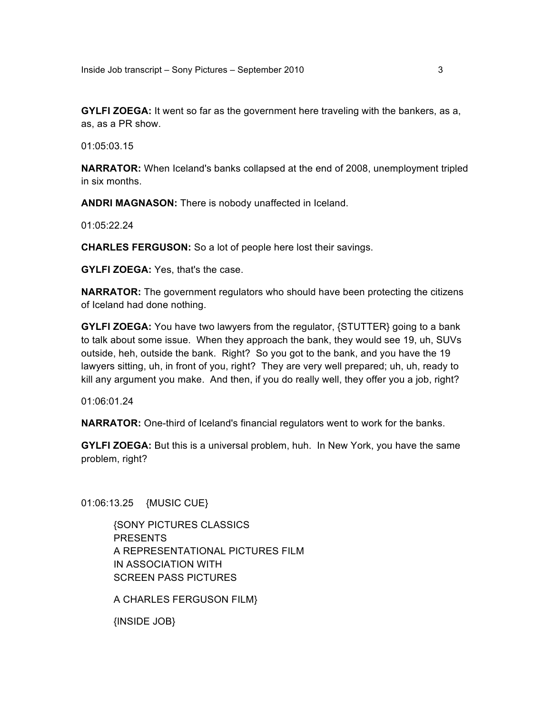**GYLFI ZOEGA:** It went so far as the government here traveling with the bankers, as a, as, as a PR show.

01:05:03.15

**NARRATOR:** When Iceland's banks collapsed at the end of 2008, unemployment tripled in six months.

**ANDRI MAGNASON:** There is nobody unaffected in Iceland.

01:05:22.24

**CHARLES FERGUSON:** So a lot of people here lost their savings.

**GYLFI ZOEGA:** Yes, that's the case.

**NARRATOR:** The government regulators who should have been protecting the citizens of Iceland had done nothing.

**GYLFI ZOEGA:** You have two lawyers from the regulator, {STUTTER} going to a bank to talk about some issue. When they approach the bank, they would see 19, uh, SUVs outside, heh, outside the bank. Right? So you got to the bank, and you have the 19 lawyers sitting, uh, in front of you, right? They are very well prepared; uh, uh, ready to kill any argument you make. And then, if you do really well, they offer you a job, right?

01:06:01.24

**NARRATOR:** One-third of Iceland's financial regulators went to work for the banks.

**GYLFI ZOEGA:** But this is a universal problem, huh. In New York, you have the same problem, right?

01:06:13.25 {MUSIC CUE}

{SONY PICTURES CLASSICS PRESENTS A REPRESENTATIONAL PICTURES FILM IN ASSOCIATION WITH SCREEN PASS PICTURES

A CHARLES FERGUSON FILM}

{INSIDE JOB}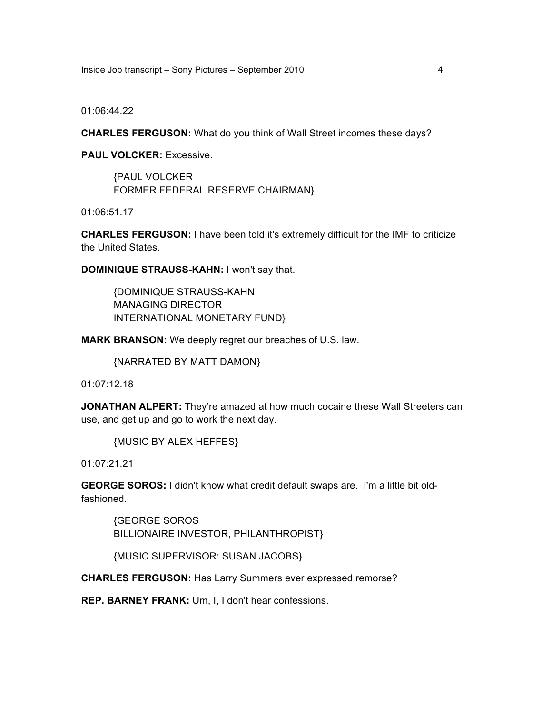Inside Job transcript – Sony Pictures – September 2010 4

01:06:44.22

**CHARLES FERGUSON:** What do you think of Wall Street incomes these days?

**PAUL VOLCKER:** Excessive.

{PAUL VOLCKER FORMER FEDERAL RESERVE CHAIRMAN}

01:06:51.17

**CHARLES FERGUSON:** I have been told it's extremely difficult for the IMF to criticize the United States.

**DOMINIQUE STRAUSS-KAHN:** I won't say that.

{DOMINIQUE STRAUSS-KAHN MANAGING DIRECTOR INTERNATIONAL MONETARY FUND}

**MARK BRANSON:** We deeply regret our breaches of U.S. law.

{NARRATED BY MATT DAMON}

01:07:12.18

**JONATHAN ALPERT:** They're amazed at how much cocaine these Wall Streeters can use, and get up and go to work the next day.

{MUSIC BY ALEX HEFFES}

01:07:21.21

**GEORGE SOROS:** I didn't know what credit default swaps are. I'm a little bit oldfashioned.

{GEORGE SOROS BILLIONAIRE INVESTOR, PHILANTHROPIST}

{MUSIC SUPERVISOR: SUSAN JACOBS}

**CHARLES FERGUSON:** Has Larry Summers ever expressed remorse?

**REP. BARNEY FRANK:** Um, I, I don't hear confessions.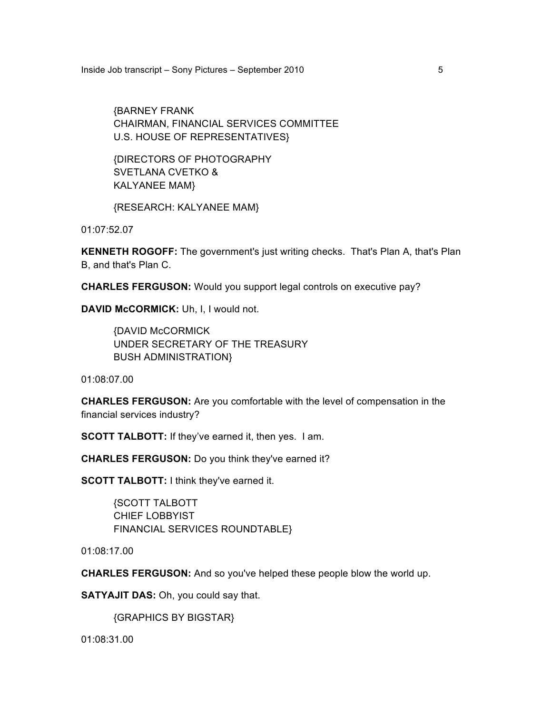Inside Job transcript – Sony Pictures – September 2010

{BARNEY FRANK CHAIRMAN, FINANCIAL SERVICES COMMITTEE U.S. HOUSE OF REPRESENTATIVES}

{DIRECTORS OF PHOTOGRAPHY SVETLANA CVETKO & KALYANEE MAM}

{RESEARCH: KALYANEE MAM}

01:07:52.07

**KENNETH ROGOFF:** The government's just writing checks. That's Plan A, that's Plan B, and that's Plan C.

**CHARLES FERGUSON:** Would you support legal controls on executive pay?

**DAVID McCORMICK:** Uh, I, I would not.

{DAVID McCORMICK UNDER SECRETARY OF THE TREASURY BUSH ADMINISTRATION}

01:08:07.00

**CHARLES FERGUSON:** Are you comfortable with the level of compensation in the financial services industry?

**SCOTT TALBOTT:** If they've earned it, then yes. I am.

**CHARLES FERGUSON:** Do you think they've earned it?

**SCOTT TALBOTT:** I think they've earned it.

{SCOTT TALBOTT CHIEF LOBBYIST FINANCIAL SERVICES ROUNDTABLE}

01:08:17.00

**CHARLES FERGUSON:** And so you've helped these people blow the world up.

**SATYAJIT DAS:** Oh, you could say that.

{GRAPHICS BY BIGSTAR}

01:08:31.00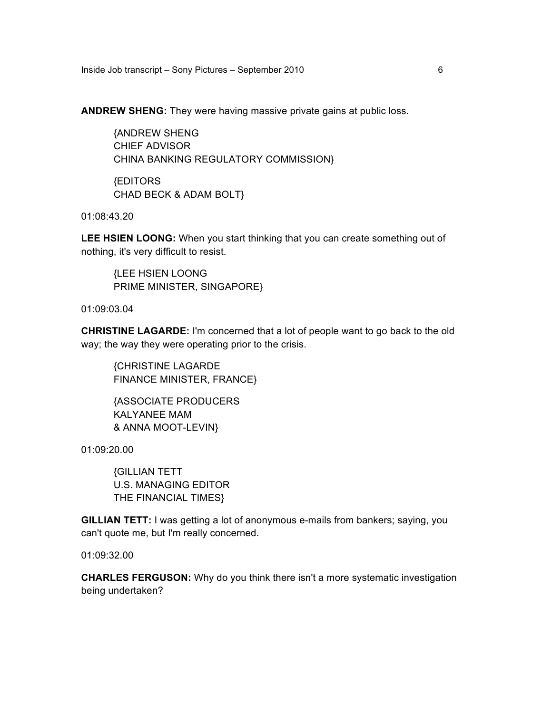Inside Job transcript – Sony Pictures – September 2010 6

**ANDREW SHENG:** They were having massive private gains at public loss.

{ANDREW SHENG CHIEF ADVISOR CHINA BANKING REGULATORY COMMISSION}

{EDITORS CHAD BECK & ADAM BOLT}

01:08:43.20

**LEE HSIEN LOONG:** When you start thinking that you can create something out of nothing, it's very difficult to resist.

{LEE HSIEN LOONG PRIME MINISTER, SINGAPORE}

01:09:03.04

**CHRISTINE LAGARDE:** I'm concerned that a lot of people want to go back to the old way; the way they were operating prior to the crisis.

{CHRISTINE LAGARDE FINANCE MINISTER, FRANCE}

{ASSOCIATE PRODUCERS KALYANEE MAM & ANNA MOOT-LEVIN}

01:09:20.00

{GILLIAN TETT U.S. MANAGING EDITOR THE FINANCIAL TIMES}

**GILLIAN TETT:** I was getting a lot of anonymous e-mails from bankers; saying, you can't quote me, but I'm really concerned.

01:09:32.00

**CHARLES FERGUSON:** Why do you think there isn't a more systematic investigation being undertaken?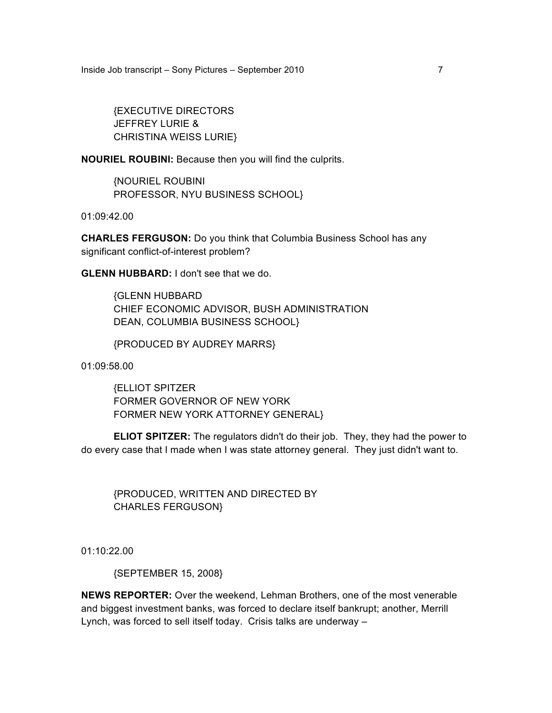Inside Job transcript – Sony Pictures – September 2010 7

{EXECUTIVE DIRECTORS JEFFREY LURIE & CHRISTINA WEISS LURIE}

**NOURIEL ROUBINI:** Because then you will find the culprits.

{NOURIEL ROUBINI PROFESSOR, NYU BUSINESS SCHOOL}

01:09:42.00

**CHARLES FERGUSON:** Do you think that Columbia Business School has any significant conflict-of-interest problem?

**GLENN HUBBARD:** I don't see that we do.

{GLENN HUBBARD CHIEF ECONOMIC ADVISOR, BUSH ADMINISTRATION DEAN, COLUMBIA BUSINESS SCHOOL}

{PRODUCED BY AUDREY MARRS}

01:09:58.00

{ELLIOT SPITZER FORMER GOVERNOR OF NEW YORK FORMER NEW YORK ATTORNEY GENERAL}

**ELIOT SPITZER:** The regulators didn't do their job. They, they had the power to do every case that I made when I was state attorney general. They just didn't want to.

{PRODUCED, WRITTEN AND DIRECTED BY CHARLES FERGUSON}

01:10:22.00

{SEPTEMBER 15, 2008}

**NEWS REPORTER:** Over the weekend, Lehman Brothers, one of the most venerable and biggest investment banks, was forced to declare itself bankrupt; another, Merrill Lynch, was forced to sell itself today. Crisis talks are underway –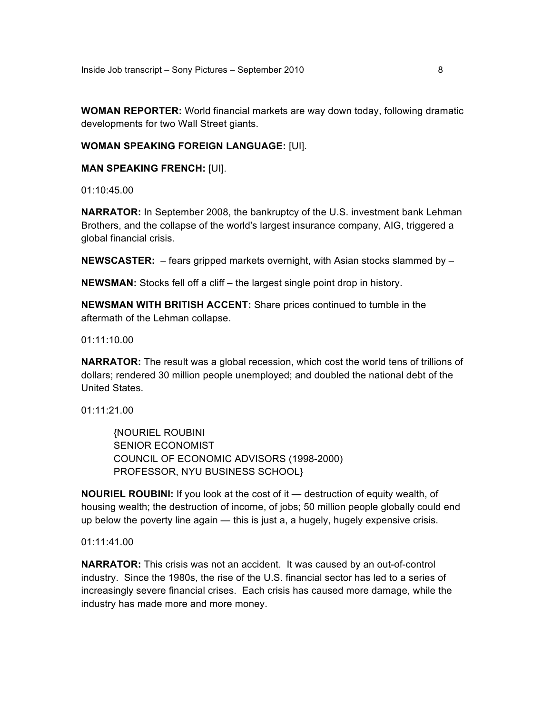**WOMAN REPORTER:** World financial markets are way down today, following dramatic developments for two Wall Street giants.

#### **WOMAN SPEAKING FOREIGN LANGUAGE:** [UI].

**MAN SPEAKING FRENCH:** [UI].

01:10:45.00

**NARRATOR:** In September 2008, the bankruptcy of the U.S. investment bank Lehman Brothers, and the collapse of the world's largest insurance company, AIG, triggered a global financial crisis.

**NEWSCASTER:** – fears gripped markets overnight, with Asian stocks slammed by –

**NEWSMAN:** Stocks fell off a cliff – the largest single point drop in history.

**NEWSMAN WITH BRITISH ACCENT:** Share prices continued to tumble in the aftermath of the Lehman collapse.

01:11:10.00

**NARRATOR:** The result was a global recession, which cost the world tens of trillions of dollars; rendered 30 million people unemployed; and doubled the national debt of the United States.

01:11:21.00

{NOURIEL ROUBINI SENIOR ECONOMIST COUNCIL OF ECONOMIC ADVISORS (1998-2000) PROFESSOR, NYU BUSINESS SCHOOL}

**NOURIEL ROUBINI:** If you look at the cost of it — destruction of equity wealth, of housing wealth; the destruction of income, of jobs; 50 million people globally could end up below the poverty line again — this is just a, a hugely, hugely expensive crisis.

01:11:41.00

**NARRATOR:** This crisis was not an accident. It was caused by an out-of-control industry. Since the 1980s, the rise of the U.S. financial sector has led to a series of increasingly severe financial crises. Each crisis has caused more damage, while the industry has made more and more money.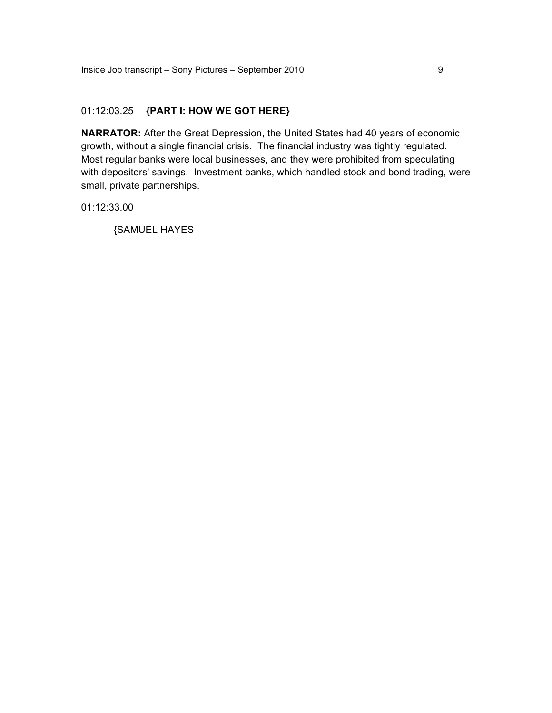## 01:12:03.25 **{PART I: HOW WE GOT HERE}**

**NARRATOR:** After the Great Depression, the United States had 40 years of economic growth, without a single financial crisis. The financial industry was tightly regulated. Most regular banks were local businesses, and they were prohibited from speculating with depositors' savings. Investment banks, which handled stock and bond trading, were small, private partnerships.

01:12:33.00

{SAMUEL HAYES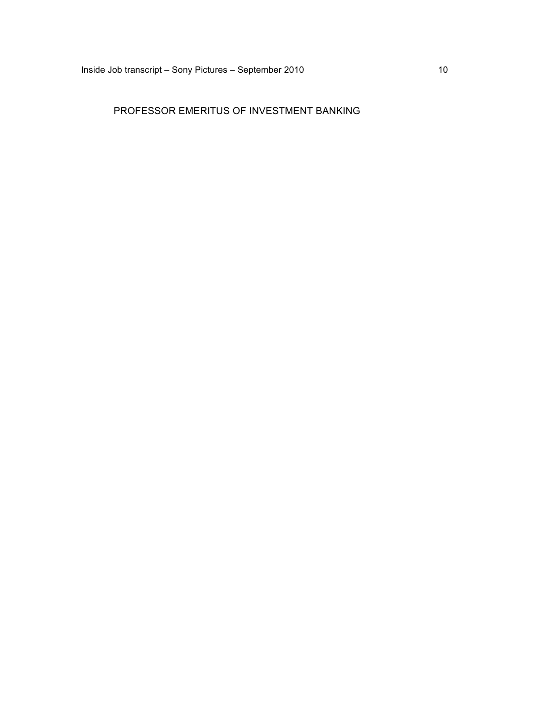# PROFESSOR EMERITUS OF INVESTMENT BANKING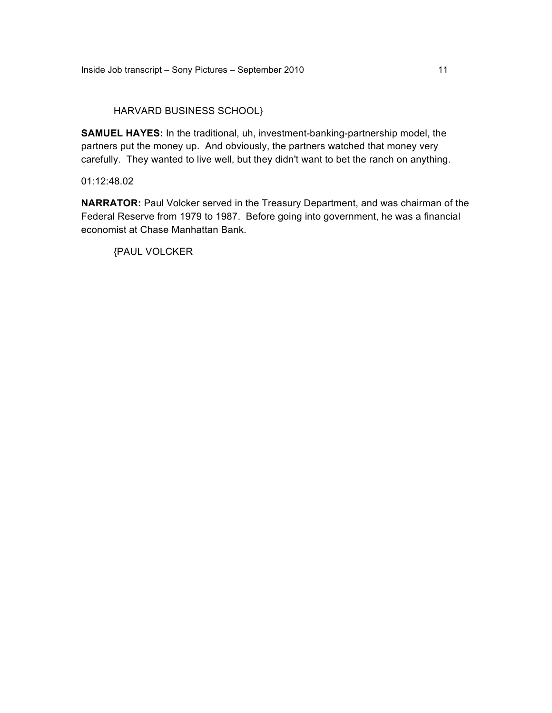# HARVARD BUSINESS SCHOOL}

**SAMUEL HAYES:** In the traditional, uh, investment-banking-partnership model, the partners put the money up. And obviously, the partners watched that money very carefully. They wanted to live well, but they didn't want to bet the ranch on anything.

## 01:12:48.02

**NARRATOR:** Paul Volcker served in the Treasury Department, and was chairman of the Federal Reserve from 1979 to 1987. Before going into government, he was a financial economist at Chase Manhattan Bank.

{PAUL VOLCKER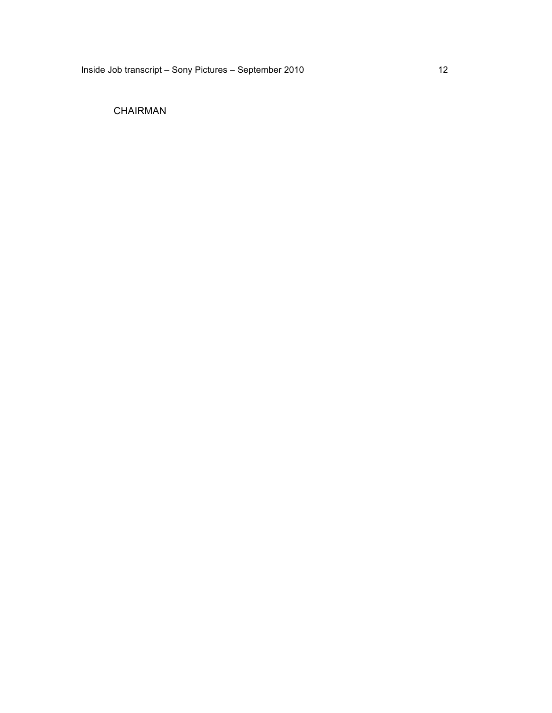# CHAIRMAN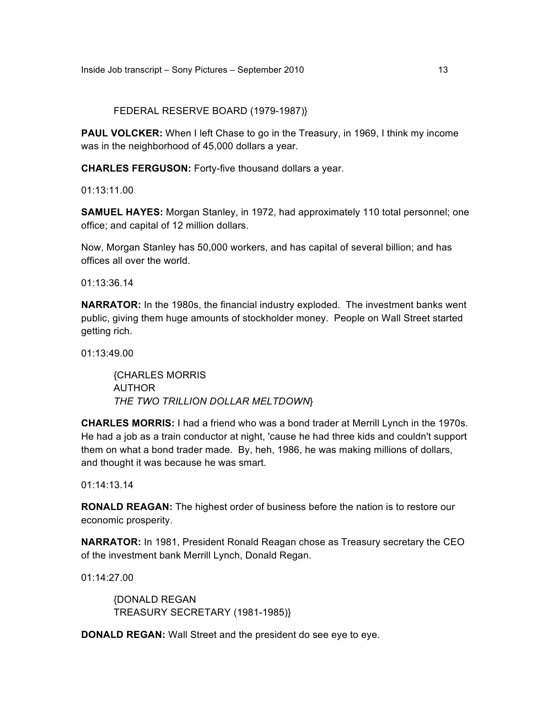#### FEDERAL RESERVE BOARD (1979-1987)}

**PAUL VOLCKER:** When I left Chase to go in the Treasury, in 1969, I think my income was in the neighborhood of 45,000 dollars a year.

**CHARLES FERGUSON:** Forty-five thousand dollars a year.

01:13:11.00

**SAMUEL HAYES:** Morgan Stanley, in 1972, had approximately 110 total personnel; one office; and capital of 12 million dollars.

Now, Morgan Stanley has 50,000 workers, and has capital of several billion; and has offices all over the world.

01:13:36.14

**NARRATOR:** In the 1980s, the financial industry exploded. The investment banks went public, giving them huge amounts of stockholder money. People on Wall Street started getting rich.

01:13:49.00

{CHARLES MORRIS AUTHOR *THE TWO TRILLION DOLLAR MELTDOWN*}

**CHARLES MORRIS:** I had a friend who was a bond trader at Merrill Lynch in the 1970s. He had a job as a train conductor at night, 'cause he had three kids and couldn't support them on what a bond trader made. By, heh, 1986, he was making millions of dollars, and thought it was because he was smart.

01:14:13.14

**RONALD REAGAN:** The highest order of business before the nation is to restore our economic prosperity.

**NARRATOR:** In 1981, President Ronald Reagan chose as Treasury secretary the CEO of the investment bank Merrill Lynch, Donald Regan.

01:14:27.00

{DONALD REGAN TREASURY SECRETARY (1981-1985)}

**DONALD REGAN:** Wall Street and the president do see eye to eye.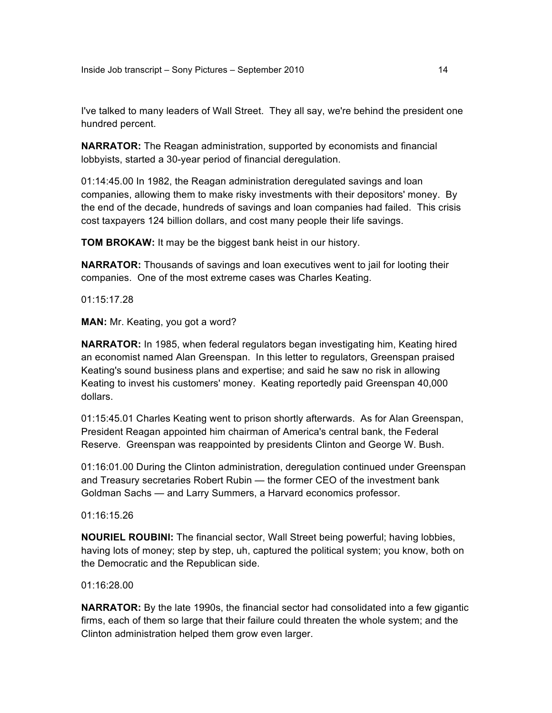I've talked to many leaders of Wall Street. They all say, we're behind the president one hundred percent.

**NARRATOR:** The Reagan administration, supported by economists and financial lobbyists, started a 30-year period of financial deregulation.

01:14:45.00 In 1982, the Reagan administration deregulated savings and loan companies, allowing them to make risky investments with their depositors' money. By the end of the decade, hundreds of savings and loan companies had failed. This crisis cost taxpayers 124 billion dollars, and cost many people their life savings.

**TOM BROKAW:** It may be the biggest bank heist in our history.

**NARRATOR:** Thousands of savings and loan executives went to jail for looting their companies. One of the most extreme cases was Charles Keating.

01:15:17.28

**MAN:** Mr. Keating, you got a word?

**NARRATOR:** In 1985, when federal regulators began investigating him, Keating hired an economist named Alan Greenspan. In this letter to regulators, Greenspan praised Keating's sound business plans and expertise; and said he saw no risk in allowing Keating to invest his customers' money. Keating reportedly paid Greenspan 40,000 dollars.

01:15:45.01 Charles Keating went to prison shortly afterwards. As for Alan Greenspan, President Reagan appointed him chairman of America's central bank, the Federal Reserve. Greenspan was reappointed by presidents Clinton and George W. Bush.

01:16:01.00 During the Clinton administration, deregulation continued under Greenspan and Treasury secretaries Robert Rubin — the former CEO of the investment bank Goldman Sachs — and Larry Summers, a Harvard economics professor.

01:16:15.26

**NOURIEL ROUBINI:** The financial sector, Wall Street being powerful; having lobbies, having lots of money; step by step, uh, captured the political system; you know, both on the Democratic and the Republican side.

01:16:28.00

**NARRATOR:** By the late 1990s, the financial sector had consolidated into a few gigantic firms, each of them so large that their failure could threaten the whole system; and the Clinton administration helped them grow even larger.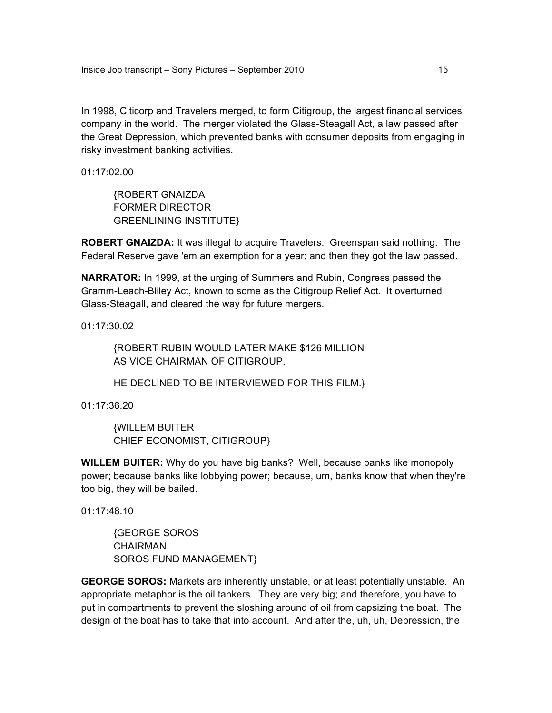In 1998, Citicorp and Travelers merged, to form Citigroup, the largest financial services company in the world. The merger violated the Glass-Steagall Act, a law passed after the Great Depression, which prevented banks with consumer deposits from engaging in risky investment banking activities.

01:17:02.00

{ROBERT GNAIZDA FORMER DIRECTOR GREENLINING INSTITUTE}

**ROBERT GNAIZDA:** It was illegal to acquire Travelers. Greenspan said nothing. The Federal Reserve gave 'em an exemption for a year; and then they got the law passed.

**NARRATOR:** In 1999, at the urging of Summers and Rubin, Congress passed the Gramm-Leach-Bliley Act, known to some as the Citigroup Relief Act. It overturned Glass-Steagall, and cleared the way for future mergers.

01:17:30.02

{ROBERT RUBIN WOULD LATER MAKE \$126 MILLION AS VICE CHAIRMAN OF CITIGROUP.

HE DECLINED TO BE INTERVIEWED FOR THIS FILM.}

01:17:36.20

{WILLEM BUITER CHIEF ECONOMIST, CITIGROUP}

**WILLEM BUITER:** Why do you have big banks? Well, because banks like monopoly power; because banks like lobbying power; because, um, banks know that when they're too big, they will be bailed.

01:17:48.10

{GEORGE SOROS CHAIRMAN SOROS FUND MANAGEMENT}

**GEORGE SOROS:** Markets are inherently unstable, or at least potentially unstable. An appropriate metaphor is the oil tankers. They are very big; and therefore, you have to put in compartments to prevent the sloshing around of oil from capsizing the boat. The design of the boat has to take that into account. And after the, uh, uh, Depression, the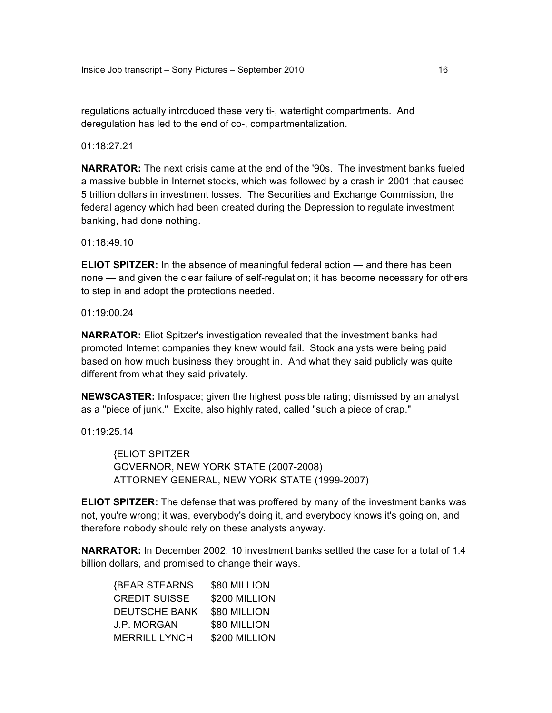regulations actually introduced these very ti-, watertight compartments. And deregulation has led to the end of co-, compartmentalization.

01:18:27.21

**NARRATOR:** The next crisis came at the end of the '90s. The investment banks fueled a massive bubble in Internet stocks, which was followed by a crash in 2001 that caused 5 trillion dollars in investment losses. The Securities and Exchange Commission, the federal agency which had been created during the Depression to regulate investment banking, had done nothing.

01:18:49.10

**ELIOT SPITZER:** In the absence of meaningful federal action — and there has been none — and given the clear failure of self-regulation; it has become necessary for others to step in and adopt the protections needed.

01:19:00.24

**NARRATOR:** Eliot Spitzer's investigation revealed that the investment banks had promoted Internet companies they knew would fail. Stock analysts were being paid based on how much business they brought in. And what they said publicly was quite different from what they said privately.

**NEWSCASTER:** Infospace; given the highest possible rating; dismissed by an analyst as a "piece of junk." Excite, also highly rated, called "such a piece of crap."

01:19:25.14

{ELIOT SPITZER GOVERNOR, NEW YORK STATE (2007-2008) ATTORNEY GENERAL, NEW YORK STATE (1999-2007)

**ELIOT SPITZER:** The defense that was proffered by many of the investment banks was not, you're wrong; it was, everybody's doing it, and everybody knows it's going on, and therefore nobody should rely on these analysts anyway.

**NARRATOR:** In December 2002, 10 investment banks settled the case for a total of 1.4 billion dollars, and promised to change their ways.

| <b>{BEAR STEARNS</b> | \$80 MILLION  |
|----------------------|---------------|
| <b>CREDIT SUISSE</b> | \$200 MILLION |
| <b>DEUTSCHE BANK</b> | \$80 MILLION  |
| <b>J.P. MORGAN</b>   | \$80 MILLION  |
| <b>MERRILL LYNCH</b> | \$200 MILLION |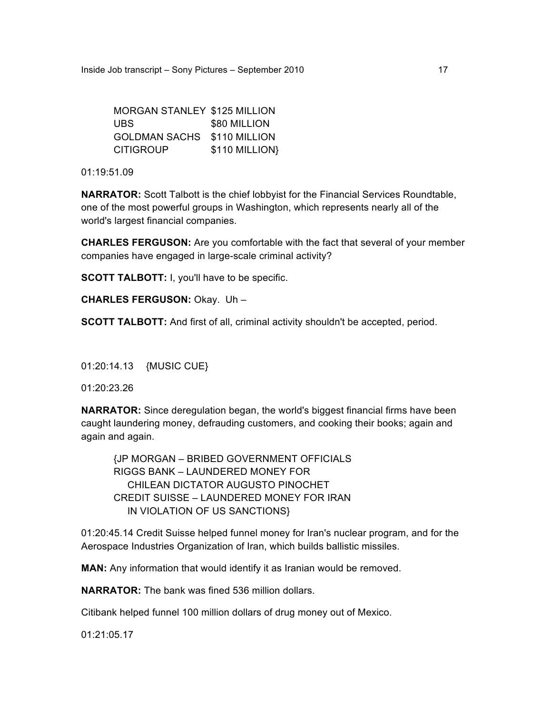| <b>MORGAN STANLEY \$125 MILLION</b> |                |
|-------------------------------------|----------------|
| UBS.                                | \$80 MILLION   |
| <b>GOLDMAN SACHS</b>                | \$110 MILLION  |
| <b>CITIGROUP</b>                    | \$110 MILLION} |

01:19:51.09

**NARRATOR:** Scott Talbott is the chief lobbyist for the Financial Services Roundtable, one of the most powerful groups in Washington, which represents nearly all of the world's largest financial companies.

**CHARLES FERGUSON:** Are you comfortable with the fact that several of your member companies have engaged in large-scale criminal activity?

**SCOTT TALBOTT:** I, you'll have to be specific.

**CHARLES FERGUSON:** Okay. Uh –

**SCOTT TALBOTT:** And first of all, criminal activity shouldn't be accepted, period.

01:20:14.13 {MUSIC CUE}

01:20:23.26

**NARRATOR:** Since deregulation began, the world's biggest financial firms have been caught laundering money, defrauding customers, and cooking their books; again and again and again.

{JP MORGAN – BRIBED GOVERNMENT OFFICIALS RIGGS BANK – LAUNDERED MONEY FOR CHILEAN DICTATOR AUGUSTO PINOCHET CREDIT SUISSE – LAUNDERED MONEY FOR IRAN IN VIOLATION OF US SANCTIONS}

01:20:45.14 Credit Suisse helped funnel money for Iran's nuclear program, and for the Aerospace Industries Organization of Iran, which builds ballistic missiles.

**MAN:** Any information that would identify it as Iranian would be removed.

**NARRATOR:** The bank was fined 536 million dollars.

Citibank helped funnel 100 million dollars of drug money out of Mexico.

01:21:05.17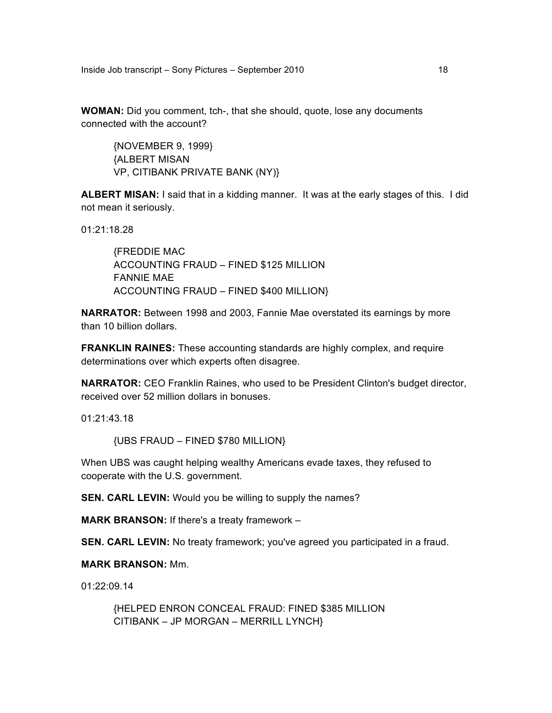Inside Job transcript – Sony Pictures – September 2010

**WOMAN:** Did you comment, tch-, that she should, quote, lose any documents connected with the account?

{NOVEMBER 9, 1999} {ALBERT MISAN VP, CITIBANK PRIVATE BANK (NY)}

**ALBERT MISAN:** I said that in a kidding manner. It was at the early stages of this. I did not mean it seriously.

01:21:18.28

{FREDDIE MAC ACCOUNTING FRAUD – FINED \$125 MILLION FANNIE MAE ACCOUNTING FRAUD – FINED \$400 MILLION}

**NARRATOR:** Between 1998 and 2003, Fannie Mae overstated its earnings by more than 10 billion dollars.

**FRANKLIN RAINES:** These accounting standards are highly complex, and require determinations over which experts often disagree.

**NARRATOR:** CEO Franklin Raines, who used to be President Clinton's budget director, received over 52 million dollars in bonuses.

01:21:43.18

{UBS FRAUD – FINED \$780 MILLION}

When UBS was caught helping wealthy Americans evade taxes, they refused to cooperate with the U.S. government.

**SEN. CARL LEVIN:** Would you be willing to supply the names?

**MARK BRANSON:** If there's a treaty framework –

**SEN. CARL LEVIN:** No treaty framework; you've agreed you participated in a fraud.

**MARK BRANSON:** Mm.

01:22:09.14

{HELPED ENRON CONCEAL FRAUD: FINED \$385 MILLION CITIBANK – JP MORGAN – MERRILL LYNCH}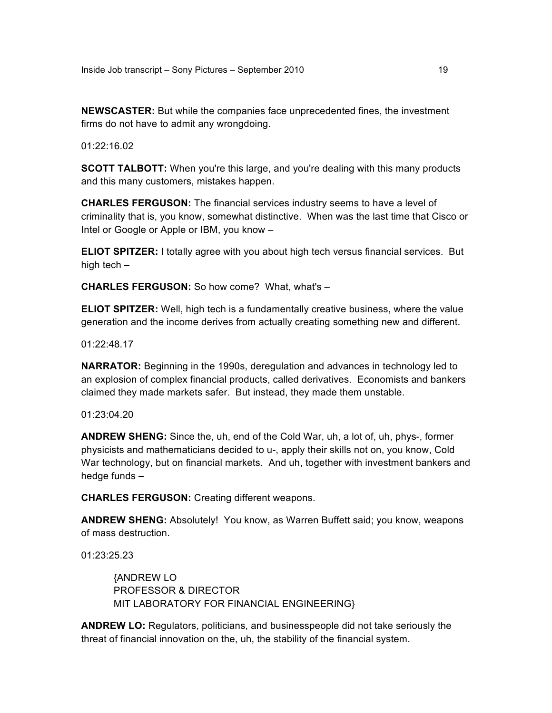**NEWSCASTER:** But while the companies face unprecedented fines, the investment firms do not have to admit any wrongdoing.

 $01:22:16.02$ 

**SCOTT TALBOTT:** When you're this large, and you're dealing with this many products and this many customers, mistakes happen.

**CHARLES FERGUSON:** The financial services industry seems to have a level of criminality that is, you know, somewhat distinctive. When was the last time that Cisco or Intel or Google or Apple or IBM, you know –

**ELIOT SPITZER:** I totally agree with you about high tech versus financial services. But high tech –

**CHARLES FERGUSON:** So how come? What, what's –

**ELIOT SPITZER:** Well, high tech is a fundamentally creative business, where the value generation and the income derives from actually creating something new and different.

01:22:48.17

**NARRATOR:** Beginning in the 1990s, deregulation and advances in technology led to an explosion of complex financial products, called derivatives. Economists and bankers claimed they made markets safer. But instead, they made them unstable.

01:23:04.20

**ANDREW SHENG:** Since the, uh, end of the Cold War, uh, a lot of, uh, phys-, former physicists and mathematicians decided to u-, apply their skills not on, you know, Cold War technology, but on financial markets. And uh, together with investment bankers and hedge funds –

**CHARLES FERGUSON:** Creating different weapons.

**ANDREW SHENG:** Absolutely! You know, as Warren Buffett said; you know, weapons of mass destruction.

01:23:25.23

{ANDREW LO PROFESSOR & DIRECTOR MIT LABORATORY FOR FINANCIAL ENGINEERING}

**ANDREW LO:** Regulators, politicians, and businesspeople did not take seriously the threat of financial innovation on the, uh, the stability of the financial system.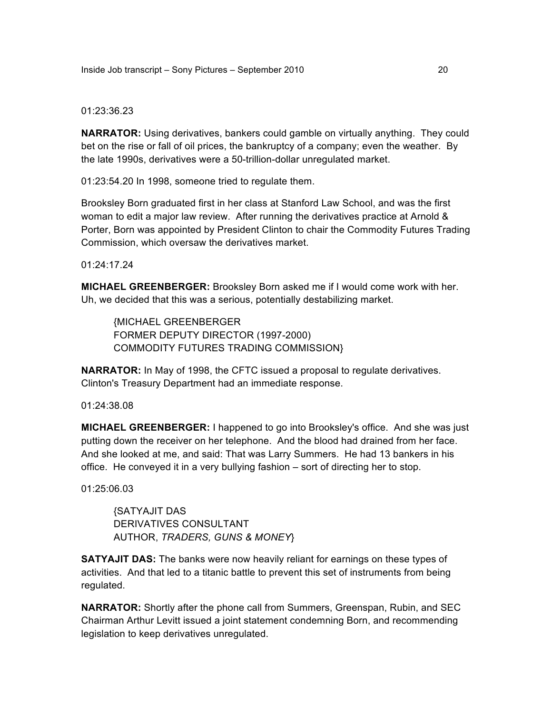#### 01:23:36.23

**NARRATOR:** Using derivatives, bankers could gamble on virtually anything. They could bet on the rise or fall of oil prices, the bankruptcy of a company; even the weather. By the late 1990s, derivatives were a 50-trillion-dollar unregulated market.

01:23:54.20 In 1998, someone tried to regulate them.

Brooksley Born graduated first in her class at Stanford Law School, and was the first woman to edit a major law review. After running the derivatives practice at Arnold & Porter, Born was appointed by President Clinton to chair the Commodity Futures Trading Commission, which oversaw the derivatives market.

01:24:17.24

**MICHAEL GREENBERGER:** Brooksley Born asked me if I would come work with her. Uh, we decided that this was a serious, potentially destabilizing market.

{MICHAEL GREENBERGER FORMER DEPUTY DIRECTOR (1997-2000) COMMODITY FUTURES TRADING COMMISSION}

**NARRATOR:** In May of 1998, the CFTC issued a proposal to regulate derivatives. Clinton's Treasury Department had an immediate response.

01:24:38.08

**MICHAEL GREENBERGER:** I happened to go into Brooksley's office. And she was just putting down the receiver on her telephone. And the blood had drained from her face. And she looked at me, and said: That was Larry Summers. He had 13 bankers in his office. He conveyed it in a very bullying fashion – sort of directing her to stop.

01:25:06.03

{SATYAJIT DAS DERIVATIVES CONSULTANT AUTHOR, *TRADERS, GUNS & MONEY*}

**SATYAJIT DAS:** The banks were now heavily reliant for earnings on these types of activities. And that led to a titanic battle to prevent this set of instruments from being regulated.

**NARRATOR:** Shortly after the phone call from Summers, Greenspan, Rubin, and SEC Chairman Arthur Levitt issued a joint statement condemning Born, and recommending legislation to keep derivatives unregulated.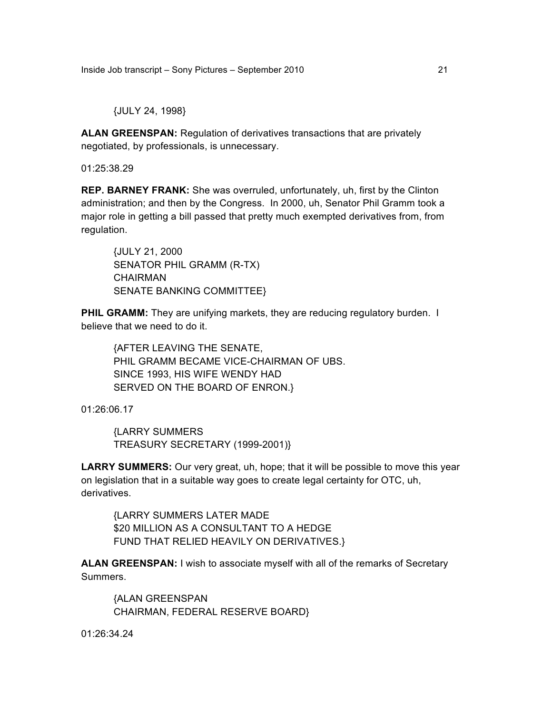{JULY 24, 1998}

**ALAN GREENSPAN:** Regulation of derivatives transactions that are privately negotiated, by professionals, is unnecessary.

01:25:38.29

**REP. BARNEY FRANK:** She was overruled, unfortunately, uh, first by the Clinton administration; and then by the Congress. In 2000, uh, Senator Phil Gramm took a major role in getting a bill passed that pretty much exempted derivatives from, from regulation.

{JULY 21, 2000 SENATOR PHIL GRAMM (R-TX) CHAIRMAN SENATE BANKING COMMITTEE}

**PHIL GRAMM:** They are unifying markets, they are reducing regulatory burden. I believe that we need to do it.

{AFTER LEAVING THE SENATE, PHIL GRAMM BECAME VICE-CHAIRMAN OF UBS. SINCE 1993, HIS WIFE WENDY HAD SERVED ON THE BOARD OF ENRON.}

01:26:06.17

{LARRY SUMMERS TREASURY SECRETARY (1999-2001)}

**LARRY SUMMERS:** Our very great, uh, hope; that it will be possible to move this year on legislation that in a suitable way goes to create legal certainty for OTC, uh, derivatives.

{LARRY SUMMERS LATER MADE \$20 MILLION AS A CONSULTANT TO A HEDGE FUND THAT RELIED HEAVILY ON DERIVATIVES.}

**ALAN GREENSPAN:** I wish to associate myself with all of the remarks of Secretary Summers.

{ALAN GREENSPAN CHAIRMAN, FEDERAL RESERVE BOARD}

01:26:34.24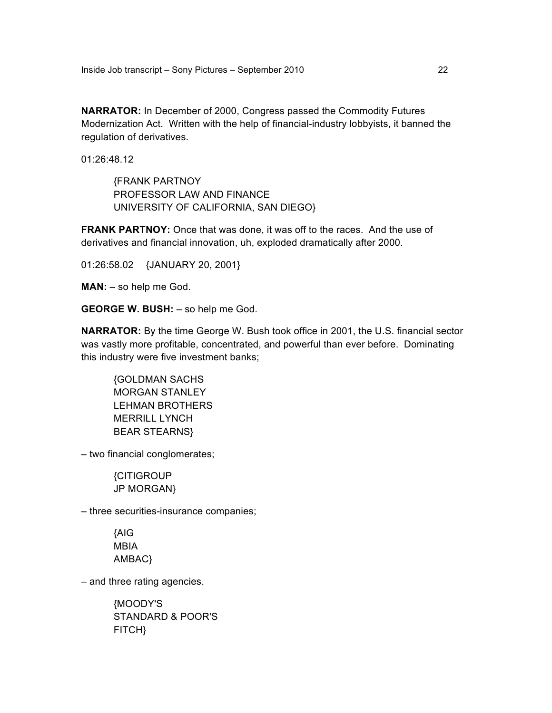**NARRATOR:** In December of 2000, Congress passed the Commodity Futures Modernization Act. Written with the help of financial-industry lobbyists, it banned the regulation of derivatives.

01:26:48.12

{FRANK PARTNOY PROFESSOR LAW AND FINANCE UNIVERSITY OF CALIFORNIA, SAN DIEGO}

**FRANK PARTNOY:** Once that was done, it was off to the races. And the use of derivatives and financial innovation, uh, exploded dramatically after 2000.

01:26:58.02 {JANUARY 20, 2001}

**MAN:** – so help me God.

**GEORGE W. BUSH:** – so help me God.

**NARRATOR:** By the time George W. Bush took office in 2001, the U.S. financial sector was vastly more profitable, concentrated, and powerful than ever before. Dominating this industry were five investment banks;

{GOLDMAN SACHS MORGAN STANLEY LEHMAN BROTHERS MERRILL LYNCH BEAR STEARNS}

– two financial conglomerates;

{CITIGROUP JP MORGAN}

– three securities-insurance companies;

{AIG MBIA AMBAC}

– and three rating agencies.

{MOODY'S STANDARD & POOR'S FITCH}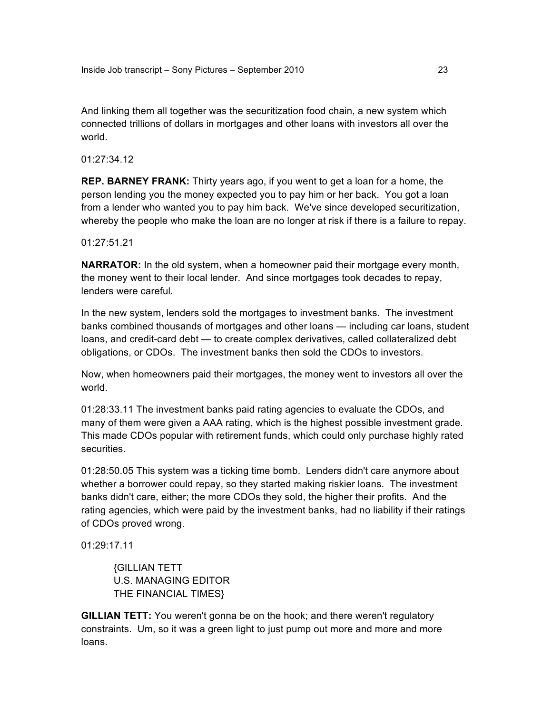And linking them all together was the securitization food chain, a new system which connected trillions of dollars in mortgages and other loans with investors all over the world.

01:27:34.12

**REP. BARNEY FRANK:** Thirty years ago, if you went to get a loan for a home, the person lending you the money expected you to pay him or her back. You got a loan from a lender who wanted you to pay him back. We've since developed securitization, whereby the people who make the loan are no longer at risk if there is a failure to repay.

01:27:51.21

**NARRATOR:** In the old system, when a homeowner paid their mortgage every month, the money went to their local lender. And since mortgages took decades to repay, lenders were careful.

In the new system, lenders sold the mortgages to investment banks. The investment banks combined thousands of mortgages and other loans — including car loans, student loans, and credit-card debt — to create complex derivatives, called collateralized debt obligations, or CDOs. The investment banks then sold the CDOs to investors.

Now, when homeowners paid their mortgages, the money went to investors all over the world.

01:28:33.11 The investment banks paid rating agencies to evaluate the CDOs, and many of them were given a AAA rating, which is the highest possible investment grade. This made CDOs popular with retirement funds, which could only purchase highly rated securities.

01:28:50.05 This system was a ticking time bomb. Lenders didn't care anymore about whether a borrower could repay, so they started making riskier loans. The investment banks didn't care, either; the more CDOs they sold, the higher their profits. And the rating agencies, which were paid by the investment banks, had no liability if their ratings of CDOs proved wrong.

01:29:17.11

{GILLIAN TETT U.S. MANAGING EDITOR THE FINANCIAL TIMES}

**GILLIAN TETT:** You weren't gonna be on the hook; and there weren't regulatory constraints. Um, so it was a green light to just pump out more and more and more loans.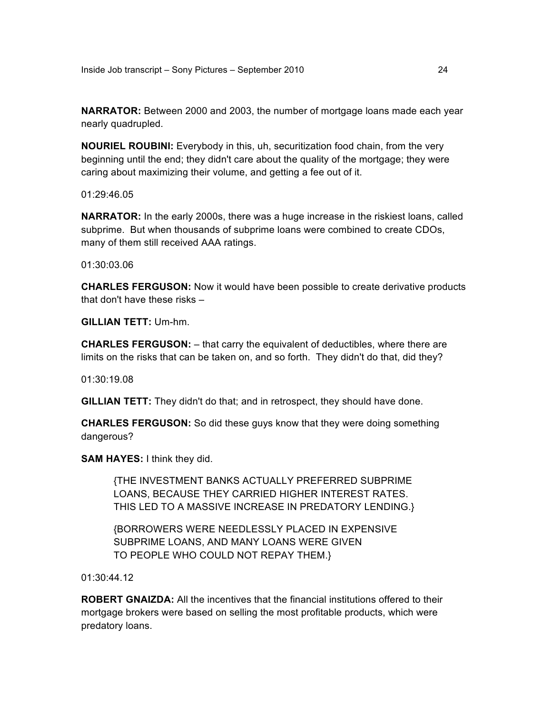**NARRATOR:** Between 2000 and 2003, the number of mortgage loans made each year nearly quadrupled.

**NOURIEL ROUBINI:** Everybody in this, uh, securitization food chain, from the very beginning until the end; they didn't care about the quality of the mortgage; they were caring about maximizing their volume, and getting a fee out of it.

01:29:46.05

**NARRATOR:** In the early 2000s, there was a huge increase in the riskiest loans, called subprime. But when thousands of subprime loans were combined to create CDOs, many of them still received AAA ratings.

01:30:03.06

**CHARLES FERGUSON:** Now it would have been possible to create derivative products that don't have these risks –

**GILLIAN TETT:** Um-hm.

**CHARLES FERGUSON:** – that carry the equivalent of deductibles, where there are limits on the risks that can be taken on, and so forth. They didn't do that, did they?

01:30:19.08

**GILLIAN TETT:** They didn't do that; and in retrospect, they should have done.

**CHARLES FERGUSON:** So did these guys know that they were doing something dangerous?

**SAM HAYES:** I think they did.

{THE INVESTMENT BANKS ACTUALLY PREFERRED SUBPRIME LOANS, BECAUSE THEY CARRIED HIGHER INTEREST RATES. THIS LED TO A MASSIVE INCREASE IN PREDATORY LENDING.}

{BORROWERS WERE NEEDLESSLY PLACED IN EXPENSIVE SUBPRIME LOANS, AND MANY LOANS WERE GIVEN TO PEOPLE WHO COULD NOT REPAY THEM.}

 $01:30:44.12$ 

**ROBERT GNAIZDA:** All the incentives that the financial institutions offered to their mortgage brokers were based on selling the most profitable products, which were predatory loans.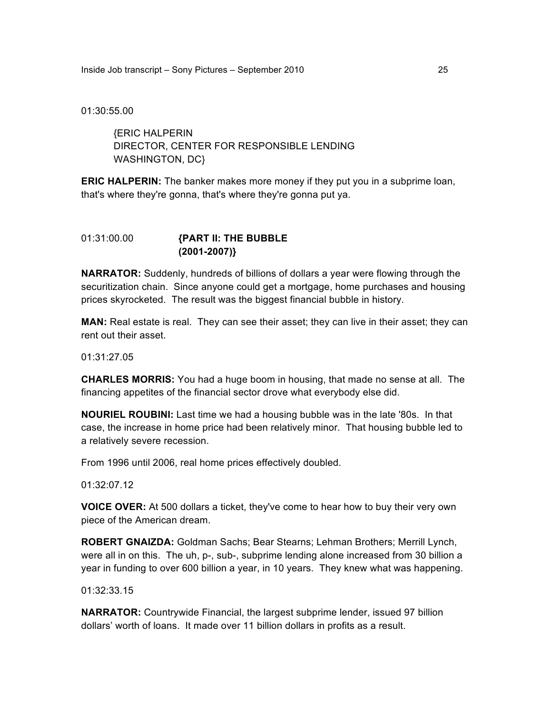Inside Job transcript – Sony Pictures – September 2010 25

01:30:55.00

{ERIC HALPERIN DIRECTOR, CENTER FOR RESPONSIBLE LENDING WASHINGTON, DC}

**ERIC HALPERIN:** The banker makes more money if they put you in a subprime loan, that's where they're gonna, that's where they're gonna put ya.

## 01:31:00.00 **{PART II: THE BUBBLE (2001-2007)}**

**NARRATOR:** Suddenly, hundreds of billions of dollars a year were flowing through the securitization chain. Since anyone could get a mortgage, home purchases and housing prices skyrocketed. The result was the biggest financial bubble in history.

**MAN:** Real estate is real. They can see their asset; they can live in their asset; they can rent out their asset.

01:31:27.05

**CHARLES MORRIS:** You had a huge boom in housing, that made no sense at all. The financing appetites of the financial sector drove what everybody else did.

**NOURIEL ROUBINI:** Last time we had a housing bubble was in the late '80s. In that case, the increase in home price had been relatively minor. That housing bubble led to a relatively severe recession.

From 1996 until 2006, real home prices effectively doubled.

01:32:07.12

**VOICE OVER:** At 500 dollars a ticket, they've come to hear how to buy their very own piece of the American dream.

**ROBERT GNAIZDA:** Goldman Sachs; Bear Stearns; Lehman Brothers; Merrill Lynch, were all in on this. The uh, p-, sub-, subprime lending alone increased from 30 billion a year in funding to over 600 billion a year, in 10 years. They knew what was happening.

01:32:33.15

**NARRATOR:** Countrywide Financial, the largest subprime lender, issued 97 billion dollars' worth of loans. It made over 11 billion dollars in profits as a result.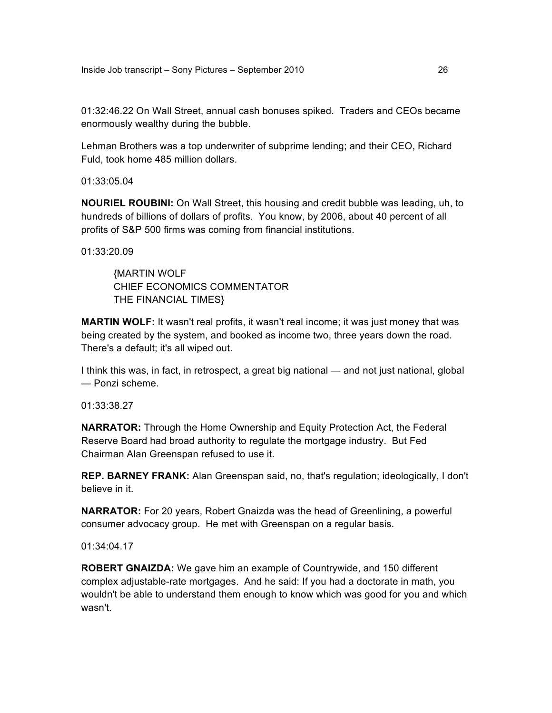01:32:46.22 On Wall Street, annual cash bonuses spiked. Traders and CEOs became enormously wealthy during the bubble.

Lehman Brothers was a top underwriter of subprime lending; and their CEO, Richard Fuld, took home 485 million dollars.

01:33:05.04

**NOURIEL ROUBINI:** On Wall Street, this housing and credit bubble was leading, uh, to hundreds of billions of dollars of profits. You know, by 2006, about 40 percent of all profits of S&P 500 firms was coming from financial institutions.

01:33:20.09

{MARTIN WOLF CHIEF ECONOMICS COMMENTATOR THE FINANCIAL TIMES}

**MARTIN WOLF:** It wasn't real profits, it wasn't real income; it was just money that was being created by the system, and booked as income two, three years down the road. There's a default; it's all wiped out.

I think this was, in fact, in retrospect, a great big national — and not just national, global — Ponzi scheme.

01:33:38.27

**NARRATOR:** Through the Home Ownership and Equity Protection Act, the Federal Reserve Board had broad authority to regulate the mortgage industry. But Fed Chairman Alan Greenspan refused to use it.

**REP. BARNEY FRANK:** Alan Greenspan said, no, that's regulation; ideologically, I don't believe in it.

**NARRATOR:** For 20 years, Robert Gnaizda was the head of Greenlining, a powerful consumer advocacy group. He met with Greenspan on a regular basis.

01:34:04.17

**ROBERT GNAIZDA:** We gave him an example of Countrywide, and 150 different complex adjustable-rate mortgages. And he said: If you had a doctorate in math, you wouldn't be able to understand them enough to know which was good for you and which wasn't.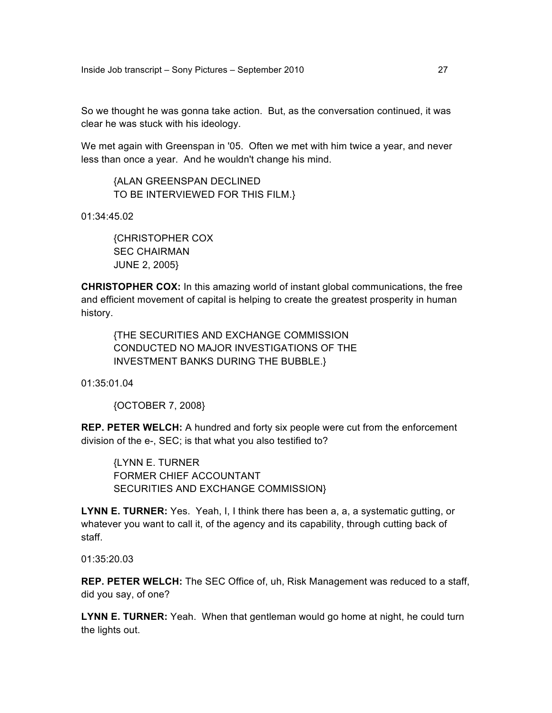So we thought he was gonna take action. But, as the conversation continued, it was clear he was stuck with his ideology.

We met again with Greenspan in '05. Often we met with him twice a year, and never less than once a year. And he wouldn't change his mind.

{ALAN GREENSPAN DECLINED TO BE INTERVIEWED FOR THIS FILM.}

01:34:45.02

{CHRISTOPHER COX SEC CHAIRMAN JUNE 2, 2005}

**CHRISTOPHER COX:** In this amazing world of instant global communications, the free and efficient movement of capital is helping to create the greatest prosperity in human history.

{THE SECURITIES AND EXCHANGE COMMISSION CONDUCTED NO MAJOR INVESTIGATIONS OF THE INVESTMENT BANKS DURING THE BUBBLE.}

01:35:01.04

{OCTOBER 7, 2008}

**REP. PETER WELCH:** A hundred and forty six people were cut from the enforcement division of the e-, SEC; is that what you also testified to?

{LYNN E. TURNER FORMER CHIEF ACCOUNTANT SECURITIES AND EXCHANGE COMMISSION}

**LYNN E. TURNER:** Yes. Yeah, I, I think there has been a, a, a systematic gutting, or whatever you want to call it, of the agency and its capability, through cutting back of staff.

01:35:20.03

**REP. PETER WELCH:** The SEC Office of, uh, Risk Management was reduced to a staff, did you say, of one?

**LYNN E. TURNER:** Yeah. When that gentleman would go home at night, he could turn the lights out.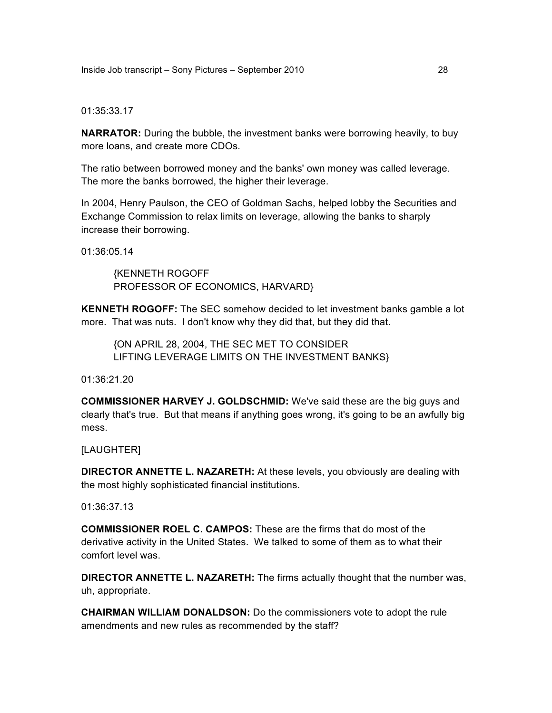#### 01:35:33.17

**NARRATOR:** During the bubble, the investment banks were borrowing heavily, to buy more loans, and create more CDOs.

The ratio between borrowed money and the banks' own money was called leverage. The more the banks borrowed, the higher their leverage.

In 2004, Henry Paulson, the CEO of Goldman Sachs, helped lobby the Securities and Exchange Commission to relax limits on leverage, allowing the banks to sharply increase their borrowing.

01:36:05.14

{KENNETH ROGOFF PROFESSOR OF ECONOMICS, HARVARD}

**KENNETH ROGOFF:** The SEC somehow decided to let investment banks gamble a lot more. That was nuts. I don't know why they did that, but they did that.

{ON APRIL 28, 2004, THE SEC MET TO CONSIDER LIFTING LEVERAGE LIMITS ON THE INVESTMENT BANKS}

01:36:21.20

**COMMISSIONER HARVEY J. GOLDSCHMID:** We've said these are the big guys and clearly that's true. But that means if anything goes wrong, it's going to be an awfully big mess.

[LAUGHTER]

**DIRECTOR ANNETTE L. NAZARETH:** At these levels, you obviously are dealing with the most highly sophisticated financial institutions.

01:36:37.13

**COMMISSIONER ROEL C. CAMPOS:** These are the firms that do most of the derivative activity in the United States. We talked to some of them as to what their comfort level was.

**DIRECTOR ANNETTE L. NAZARETH:** The firms actually thought that the number was, uh, appropriate.

**CHAIRMAN WILLIAM DONALDSON:** Do the commissioners vote to adopt the rule amendments and new rules as recommended by the staff?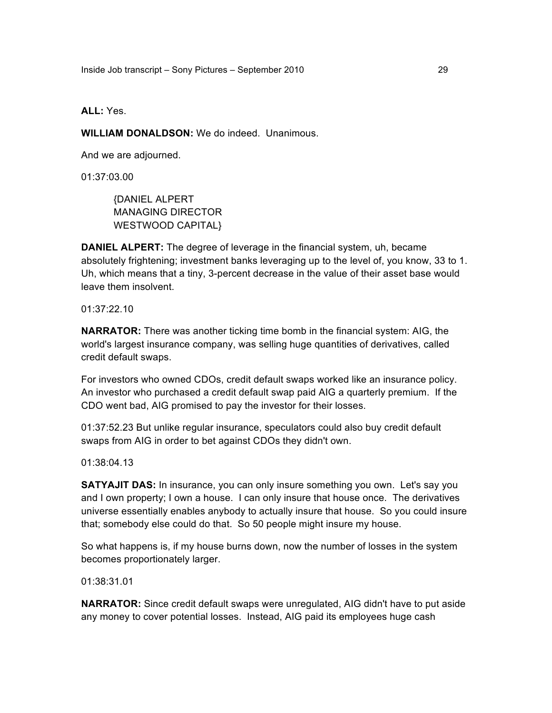Inside Job transcript – Sony Pictures – September 2010 29

**ALL:** Yes.

**WILLIAM DONALDSON:** We do indeed. Unanimous.

And we are adjourned.

01:37:03.00

{DANIEL ALPERT MANAGING DIRECTOR WESTWOOD CAPITAL}

**DANIEL ALPERT:** The degree of leverage in the financial system, uh, became absolutely frightening; investment banks leveraging up to the level of, you know, 33 to 1. Uh, which means that a tiny, 3-percent decrease in the value of their asset base would leave them insolvent.

01:37:22.10

**NARRATOR:** There was another ticking time bomb in the financial system: AIG, the world's largest insurance company, was selling huge quantities of derivatives, called credit default swaps.

For investors who owned CDOs, credit default swaps worked like an insurance policy. An investor who purchased a credit default swap paid AIG a quarterly premium. If the CDO went bad, AIG promised to pay the investor for their losses.

01:37:52.23 But unlike regular insurance, speculators could also buy credit default swaps from AIG in order to bet against CDOs they didn't own.

01:38:04.13

**SATYAJIT DAS:** In insurance, you can only insure something you own. Let's say you and I own property; I own a house. I can only insure that house once. The derivatives universe essentially enables anybody to actually insure that house. So you could insure that; somebody else could do that. So 50 people might insure my house.

So what happens is, if my house burns down, now the number of losses in the system becomes proportionately larger.

01:38:31.01

**NARRATOR:** Since credit default swaps were unregulated, AIG didn't have to put aside any money to cover potential losses. Instead, AIG paid its employees huge cash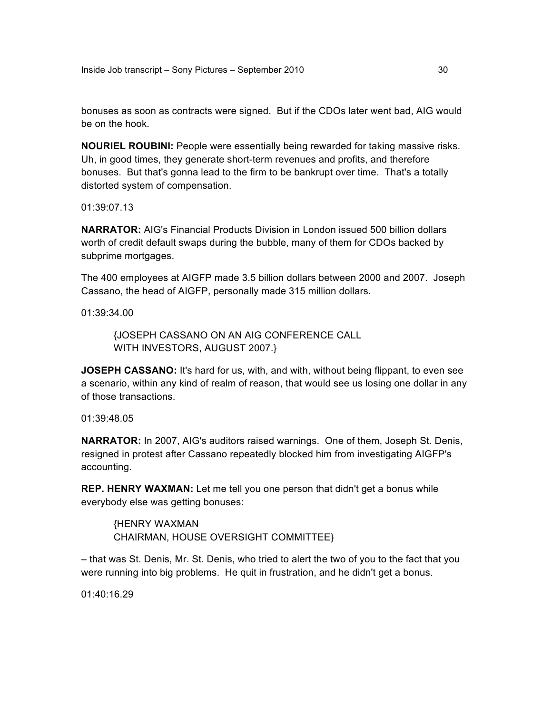bonuses as soon as contracts were signed. But if the CDOs later went bad, AIG would be on the hook.

**NOURIEL ROUBINI:** People were essentially being rewarded for taking massive risks. Uh, in good times, they generate short-term revenues and profits, and therefore bonuses. But that's gonna lead to the firm to be bankrupt over time. That's a totally distorted system of compensation.

01:39:07.13

**NARRATOR:** AIG's Financial Products Division in London issued 500 billion dollars worth of credit default swaps during the bubble, many of them for CDOs backed by subprime mortgages.

The 400 employees at AIGFP made 3.5 billion dollars between 2000 and 2007. Joseph Cassano, the head of AIGFP, personally made 315 million dollars.

01:39:34.00

{JOSEPH CASSANO ON AN AIG CONFERENCE CALL WITH INVESTORS, AUGUST 2007.}

**JOSEPH CASSANO:** It's hard for us, with, and with, without being flippant, to even see a scenario, within any kind of realm of reason, that would see us losing one dollar in any of those transactions.

01:39:48.05

**NARRATOR:** In 2007, AIG's auditors raised warnings. One of them, Joseph St. Denis, resigned in protest after Cassano repeatedly blocked him from investigating AIGFP's accounting.

**REP. HENRY WAXMAN:** Let me tell you one person that didn't get a bonus while everybody else was getting bonuses:

{HENRY WAXMAN CHAIRMAN, HOUSE OVERSIGHT COMMITTEE}

– that was St. Denis, Mr. St. Denis, who tried to alert the two of you to the fact that you were running into big problems. He quit in frustration, and he didn't get a bonus.

01:40:16.29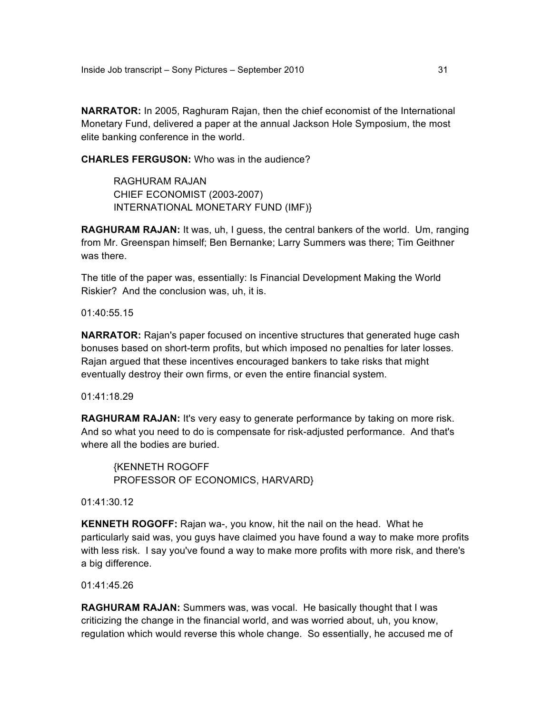**NARRATOR:** In 2005, Raghuram Rajan, then the chief economist of the International Monetary Fund, delivered a paper at the annual Jackson Hole Symposium, the most elite banking conference in the world.

**CHARLES FERGUSON:** Who was in the audience?

RAGHURAM RAJAN CHIEF ECONOMIST (2003-2007) INTERNATIONAL MONETARY FUND (IMF)}

**RAGHURAM RAJAN:** It was, uh, I guess, the central bankers of the world. Um, ranging from Mr. Greenspan himself; Ben Bernanke; Larry Summers was there; Tim Geithner was there.

The title of the paper was, essentially: Is Financial Development Making the World Riskier? And the conclusion was, uh, it is.

01:40:55.15

**NARRATOR:** Rajan's paper focused on incentive structures that generated huge cash bonuses based on short-term profits, but which imposed no penalties for later losses. Rajan argued that these incentives encouraged bankers to take risks that might eventually destroy their own firms, or even the entire financial system.

01:41:18.29

**RAGHURAM RAJAN:** It's very easy to generate performance by taking on more risk. And so what you need to do is compensate for risk-adjusted performance. And that's where all the bodies are buried.

{KENNETH ROGOFF PROFESSOR OF ECONOMICS, HARVARD}

01:41:30.12

**KENNETH ROGOFF:** Rajan wa-, you know, hit the nail on the head. What he particularly said was, you guys have claimed you have found a way to make more profits with less risk. I say you've found a way to make more profits with more risk, and there's a big difference.

01:41:45.26

**RAGHURAM RAJAN:** Summers was, was vocal. He basically thought that I was criticizing the change in the financial world, and was worried about, uh, you know, regulation which would reverse this whole change. So essentially, he accused me of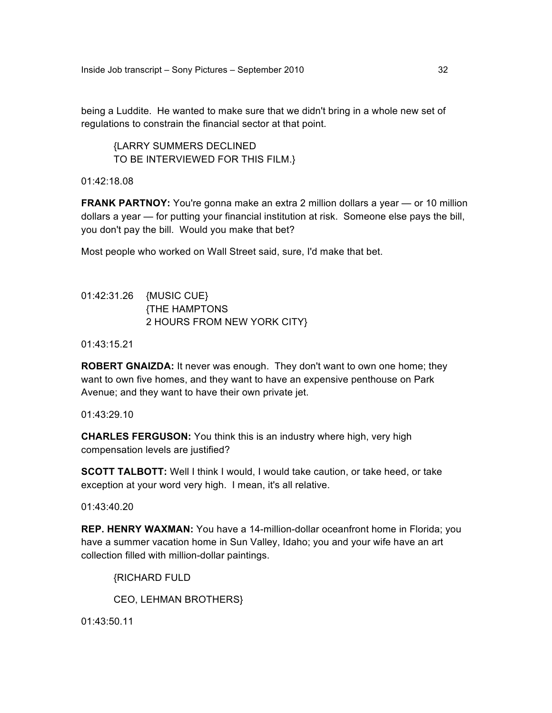being a Luddite. He wanted to make sure that we didn't bring in a whole new set of regulations to constrain the financial sector at that point.

{LARRY SUMMERS DECLINED TO BE INTERVIEWED FOR THIS FILM.}

01:42:18.08

**FRANK PARTNOY:** You're gonna make an extra 2 million dollars a year — or 10 million dollars a year — for putting your financial institution at risk. Someone else pays the bill, you don't pay the bill. Would you make that bet?

Most people who worked on Wall Street said, sure, I'd make that bet.

# 01:42:31.26 {MUSIC CUE} {THE HAMPTONS 2 HOURS FROM NEW YORK CITY}

01:43:15.21

**ROBERT GNAIZDA:** It never was enough. They don't want to own one home; they want to own five homes, and they want to have an expensive penthouse on Park Avenue; and they want to have their own private jet.

01:43:29.10

**CHARLES FERGUSON:** You think this is an industry where high, very high compensation levels are justified?

**SCOTT TALBOTT:** Well I think I would, I would take caution, or take heed, or take exception at your word very high. I mean, it's all relative.

01:43:40.20

**REP. HENRY WAXMAN:** You have a 14-million-dollar oceanfront home in Florida; you have a summer vacation home in Sun Valley, Idaho; you and your wife have an art collection filled with million-dollar paintings.

{RICHARD FULD

CEO, LEHMAN BROTHERS}

01:43:50.11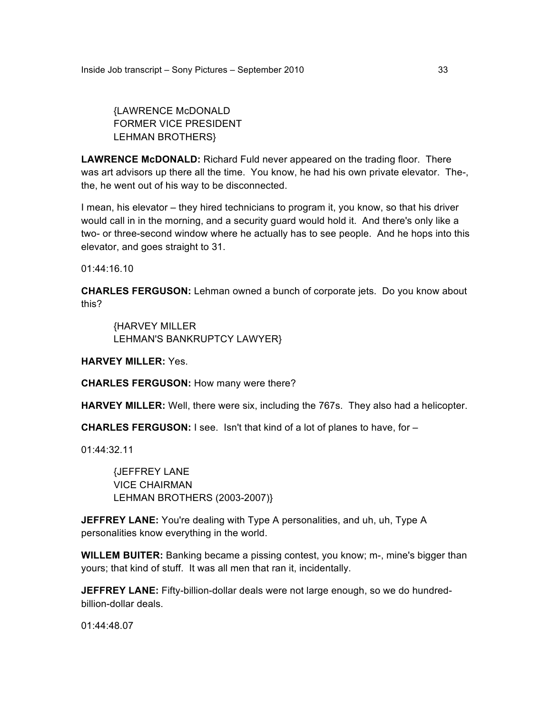{LAWRENCE McDONALD FORMER VICE PRESIDENT LEHMAN BROTHERS}

**LAWRENCE McDONALD:** Richard Fuld never appeared on the trading floor. There was art advisors up there all the time. You know, he had his own private elevator. The-, the, he went out of his way to be disconnected.

I mean, his elevator – they hired technicians to program it, you know, so that his driver would call in in the morning, and a security guard would hold it. And there's only like a two- or three-second window where he actually has to see people. And he hops into this elevator, and goes straight to 31.

01:44:16.10

**CHARLES FERGUSON:** Lehman owned a bunch of corporate jets. Do you know about this?

{HARVEY MILLER LEHMAN'S BANKRUPTCY LAWYER}

**HARVEY MILLER:** Yes.

**CHARLES FERGUSON:** How many were there?

**HARVEY MILLER:** Well, there were six, including the 767s. They also had a helicopter.

**CHARLES FERGUSON:** I see. Isn't that kind of a lot of planes to have, for –

01:44:32.11

{JEFFREY LANE VICE CHAIRMAN LEHMAN BROTHERS (2003-2007)}

**JEFFREY LANE:** You're dealing with Type A personalities, and uh, uh, Type A personalities know everything in the world.

**WILLEM BUITER:** Banking became a pissing contest, you know; m-, mine's bigger than yours; that kind of stuff. It was all men that ran it, incidentally.

**JEFFREY LANE:** Fifty-billion-dollar deals were not large enough, so we do hundredbillion-dollar deals.

01:44:48.07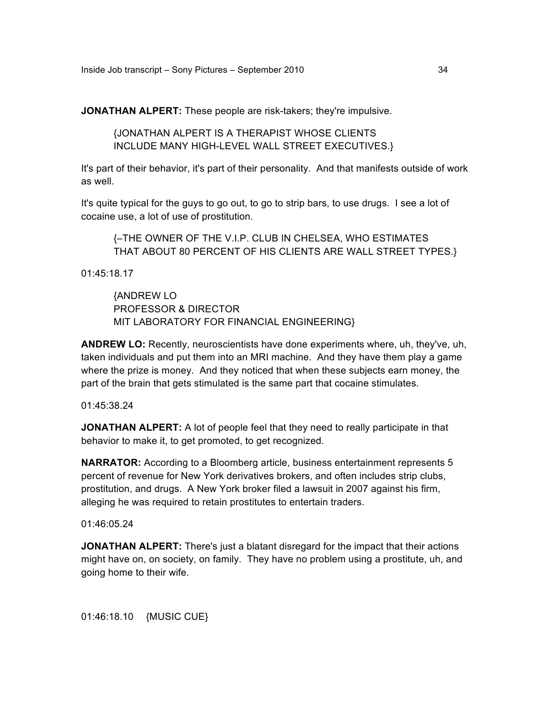**JONATHAN ALPERT:** These people are risk-takers; they're impulsive.

{JONATHAN ALPERT IS A THERAPIST WHOSE CLIENTS INCLUDE MANY HIGH-LEVEL WALL STREET EXECUTIVES.}

It's part of their behavior, it's part of their personality. And that manifests outside of work as well.

It's quite typical for the guys to go out, to go to strip bars, to use drugs. I see a lot of cocaine use, a lot of use of prostitution.

{–THE OWNER OF THE V.I.P. CLUB IN CHELSEA, WHO ESTIMATES THAT ABOUT 80 PERCENT OF HIS CLIENTS ARE WALL STREET TYPES.}

01:45:18.17

{ANDREW LO PROFESSOR & DIRECTOR MIT LABORATORY FOR FINANCIAL ENGINEERING}

**ANDREW LO:** Recently, neuroscientists have done experiments where, uh, they've, uh, taken individuals and put them into an MRI machine. And they have them play a game where the prize is money. And they noticed that when these subjects earn money, the part of the brain that gets stimulated is the same part that cocaine stimulates.

01:45:38.24

**JONATHAN ALPERT:** A lot of people feel that they need to really participate in that behavior to make it, to get promoted, to get recognized.

**NARRATOR:** According to a Bloomberg article, business entertainment represents 5 percent of revenue for New York derivatives brokers, and often includes strip clubs, prostitution, and drugs. A New York broker filed a lawsuit in 2007 against his firm, alleging he was required to retain prostitutes to entertain traders.

01:46:05.24

**JONATHAN ALPERT:** There's just a blatant disregard for the impact that their actions might have on, on society, on family. They have no problem using a prostitute, uh, and going home to their wife.

01:46:18.10 {MUSIC CUE}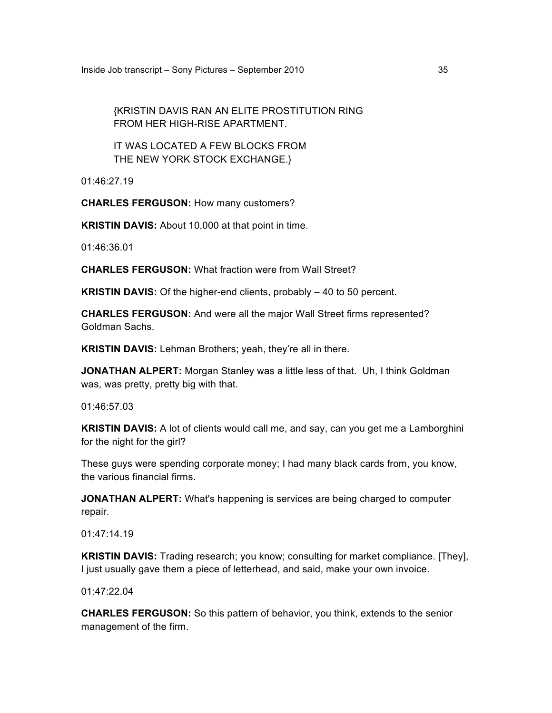{KRISTIN DAVIS RAN AN ELITE PROSTITUTION RING FROM HER HIGH-RISE APARTMENT.

IT WAS LOCATED A FEW BLOCKS FROM THE NEW YORK STOCK EXCHANGE.}

01:46:27.19

**CHARLES FERGUSON:** How many customers?

**KRISTIN DAVIS:** About 10,000 at that point in time.

01:46:36.01

**CHARLES FERGUSON:** What fraction were from Wall Street?

**KRISTIN DAVIS:** Of the higher-end clients, probably – 40 to 50 percent.

**CHARLES FERGUSON:** And were all the major Wall Street firms represented? Goldman Sachs.

**KRISTIN DAVIS:** Lehman Brothers; yeah, they're all in there.

**JONATHAN ALPERT:** Morgan Stanley was a little less of that. Uh, I think Goldman was, was pretty, pretty big with that.

01:46:57.03

**KRISTIN DAVIS:** A lot of clients would call me, and say, can you get me a Lamborghini for the night for the girl?

These guys were spending corporate money; I had many black cards from, you know, the various financial firms.

**JONATHAN ALPERT:** What's happening is services are being charged to computer repair.

01:47:14.19

**KRISTIN DAVIS:** Trading research; you know; consulting for market compliance. [They], I just usually gave them a piece of letterhead, and said, make your own invoice.

01:47:22.04

**CHARLES FERGUSON:** So this pattern of behavior, you think, extends to the senior management of the firm.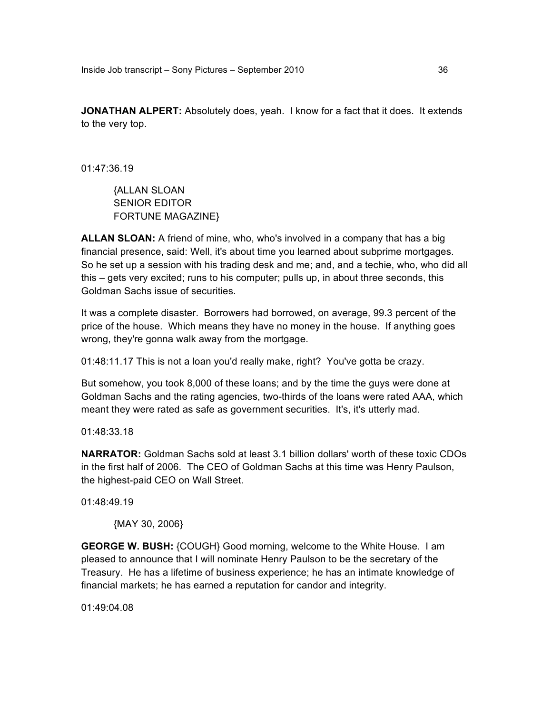**JONATHAN ALPERT:** Absolutely does, yeah. I know for a fact that it does. It extends to the very top.

01:47:36.19

{ALLAN SLOAN SENIOR EDITOR FORTUNE MAGAZINE}

**ALLAN SLOAN:** A friend of mine, who, who's involved in a company that has a big financial presence, said: Well, it's about time you learned about subprime mortgages. So he set up a session with his trading desk and me; and, and a techie, who, who did all this – gets very excited; runs to his computer; pulls up, in about three seconds, this Goldman Sachs issue of securities.

It was a complete disaster. Borrowers had borrowed, on average, 99.3 percent of the price of the house. Which means they have no money in the house. If anything goes wrong, they're gonna walk away from the mortgage.

01:48:11.17 This is not a loan you'd really make, right? You've gotta be crazy.

But somehow, you took 8,000 of these loans; and by the time the guys were done at Goldman Sachs and the rating agencies, two-thirds of the loans were rated AAA, which meant they were rated as safe as government securities. It's, it's utterly mad.

01:48:33.18

**NARRATOR:** Goldman Sachs sold at least 3.1 billion dollars' worth of these toxic CDOs in the first half of 2006. The CEO of Goldman Sachs at this time was Henry Paulson, the highest-paid CEO on Wall Street.

01:48:49.19

{MAY 30, 2006}

**GEORGE W. BUSH:** {COUGH} Good morning, welcome to the White House. I am pleased to announce that I will nominate Henry Paulson to be the secretary of the Treasury. He has a lifetime of business experience; he has an intimate knowledge of financial markets; he has earned a reputation for candor and integrity.

01:49:04.08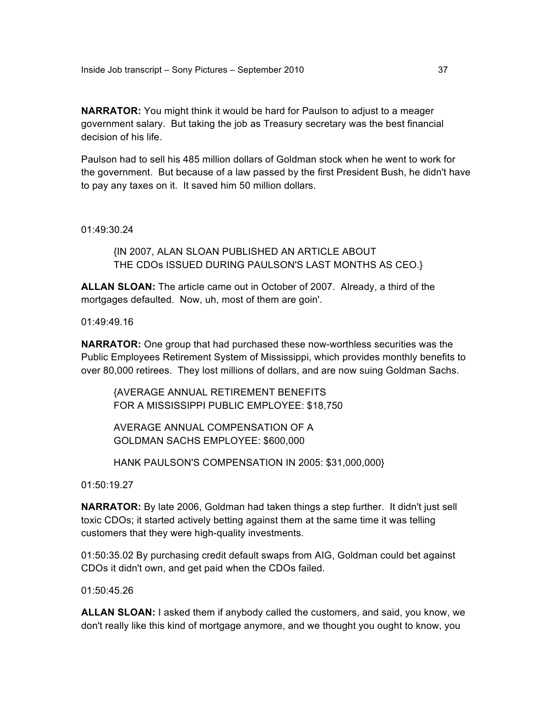**NARRATOR:** You might think it would be hard for Paulson to adjust to a meager government salary. But taking the job as Treasury secretary was the best financial decision of his life.

Paulson had to sell his 485 million dollars of Goldman stock when he went to work for the government. But because of a law passed by the first President Bush, he didn't have to pay any taxes on it. It saved him 50 million dollars.

01:49:30.24

{IN 2007, ALAN SLOAN PUBLISHED AN ARTICLE ABOUT THE CDOs ISSUED DURING PAULSON'S LAST MONTHS AS CEO.}

**ALLAN SLOAN:** The article came out in October of 2007. Already, a third of the mortgages defaulted. Now, uh, most of them are goin'.

01:49:49.16

**NARRATOR:** One group that had purchased these now-worthless securities was the Public Employees Retirement System of Mississippi, which provides monthly benefits to over 80,000 retirees. They lost millions of dollars, and are now suing Goldman Sachs.

{AVERAGE ANNUAL RETIREMENT BENEFITS FOR A MISSISSIPPI PUBLIC EMPLOYEE: \$18,750

AVERAGE ANNUAL COMPENSATION OF A GOLDMAN SACHS EMPLOYEE: \$600,000

HANK PAULSON'S COMPENSATION IN 2005: \$31,000,000}

01:50:19.27

**NARRATOR:** By late 2006, Goldman had taken things a step further. It didn't just sell toxic CDOs; it started actively betting against them at the same time it was telling customers that they were high-quality investments.

01:50:35.02 By purchasing credit default swaps from AIG, Goldman could bet against CDOs it didn't own, and get paid when the CDOs failed.

01:50:45.26

**ALLAN SLOAN:** I asked them if anybody called the customers, and said, you know, we don't really like this kind of mortgage anymore, and we thought you ought to know, you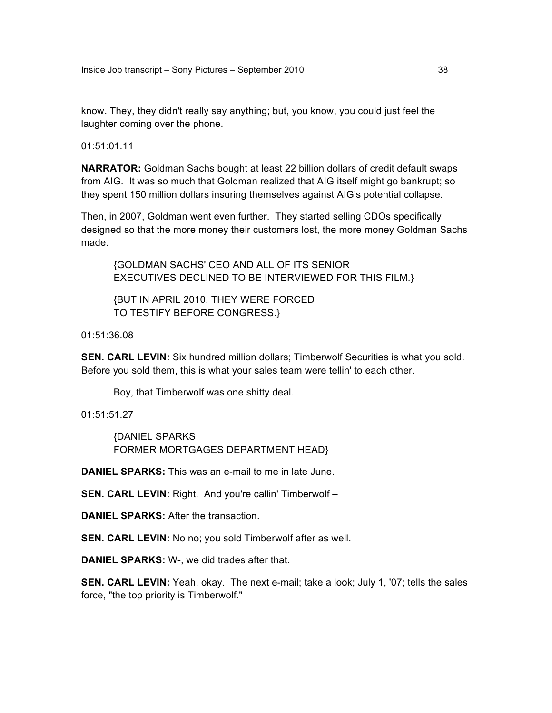know. They, they didn't really say anything; but, you know, you could just feel the laughter coming over the phone.

01:51:01.11

**NARRATOR:** Goldman Sachs bought at least 22 billion dollars of credit default swaps from AIG. It was so much that Goldman realized that AIG itself might go bankrupt; so they spent 150 million dollars insuring themselves against AIG's potential collapse.

Then, in 2007, Goldman went even further. They started selling CDOs specifically designed so that the more money their customers lost, the more money Goldman Sachs made.

{GOLDMAN SACHS' CEO AND ALL OF ITS SENIOR EXECUTIVES DECLINED TO BE INTERVIEWED FOR THIS FILM.}

{BUT IN APRIL 2010, THEY WERE FORCED TO TESTIFY BEFORE CONGRESS.}

01:51:36.08

**SEN. CARL LEVIN:** Six hundred million dollars; Timberwolf Securities is what you sold. Before you sold them, this is what your sales team were tellin' to each other.

Boy, that Timberwolf was one shitty deal.

01:51:51.27

{DANIEL SPARKS FORMER MORTGAGES DEPARTMENT HEAD}

**DANIEL SPARKS:** This was an e-mail to me in late June.

**SEN. CARL LEVIN:** Right. And you're callin' Timberwolf –

**DANIEL SPARKS:** After the transaction.

**SEN. CARL LEVIN:** No no; you sold Timberwolf after as well.

**DANIEL SPARKS:** W-, we did trades after that.

**SEN. CARL LEVIN:** Yeah, okay. The next e-mail; take a look; July 1, '07; tells the sales force, "the top priority is Timberwolf."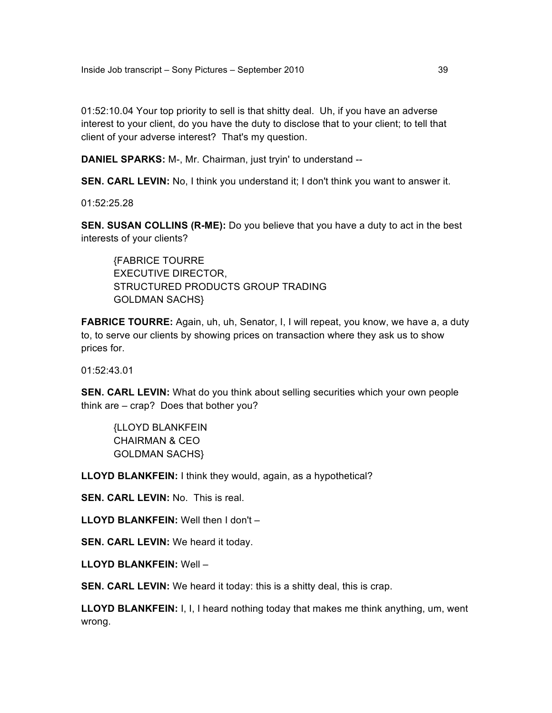01:52:10.04 Your top priority to sell is that shitty deal. Uh, if you have an adverse interest to your client, do you have the duty to disclose that to your client; to tell that client of your adverse interest? That's my question.

**DANIEL SPARKS:** M-, Mr. Chairman, just tryin' to understand --

**SEN. CARL LEVIN:** No, I think you understand it; I don't think you want to answer it.

01:52:25.28

**SEN. SUSAN COLLINS (R-ME):** Do you believe that you have a duty to act in the best interests of your clients?

{FABRICE TOURRE EXECUTIVE DIRECTOR, STRUCTURED PRODUCTS GROUP TRADING GOLDMAN SACHS}

FABRICE TOURRE: Again, uh, uh, Senator, I, I will repeat, you know, we have a, a duty to, to serve our clients by showing prices on transaction where they ask us to show prices for.

01:52:43.01

**SEN. CARL LEVIN:** What do you think about selling securities which your own people think are – crap? Does that bother you?

{LLOYD BLANKFEIN CHAIRMAN & CEO GOLDMAN SACHS}

**LLOYD BLANKFEIN:** I think they would, again, as a hypothetical?

**SEN. CARL LEVIN:** No. This is real.

**LLOYD BLANKFEIN:** Well then I don't –

**SEN. CARL LEVIN:** We heard it today.

**LLOYD BLANKFEIN:** Well –

**SEN. CARL LEVIN:** We heard it today: this is a shitty deal, this is crap.

**LLOYD BLANKFEIN:** I, I, I heard nothing today that makes me think anything, um, went wrong.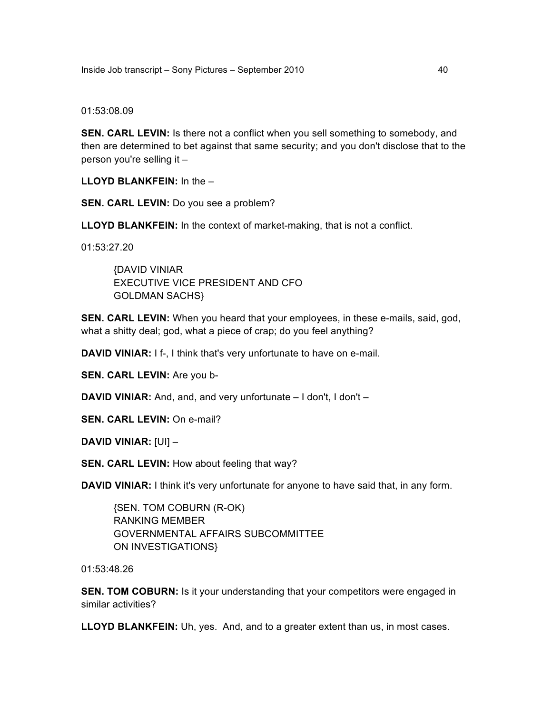#### 01:53:08.09

**SEN. CARL LEVIN:** Is there not a conflict when you sell something to somebody, and then are determined to bet against that same security; and you don't disclose that to the person you're selling it –

**LLOYD BLANKFEIN:** In the –

**SEN. CARL LEVIN:** Do you see a problem?

**LLOYD BLANKFEIN:** In the context of market-making, that is not a conflict.

01:53:27.20

{DAVID VINIAR EXECUTIVE VICE PRESIDENT AND CFO GOLDMAN SACHS}

**SEN. CARL LEVIN:** When you heard that your employees, in these e-mails, said, god, what a shitty deal; god, what a piece of crap; do you feel anything?

**DAVID VINIAR:** I f-, I think that's very unfortunate to have on e-mail.

**SEN. CARL LEVIN:** Are you b-

**DAVID VINIAR:** And, and, and very unfortunate – I don't, I don't –

**SEN. CARL LEVIN:** On e-mail?

**DAVID VINIAR:** [UI] –

**SEN. CARL LEVIN:** How about feeling that way?

**DAVID VINIAR:** I think it's very unfortunate for anyone to have said that, in any form.

{SEN. TOM COBURN (R-OK) RANKING MEMBER GOVERNMENTAL AFFAIRS SUBCOMMITTEE ON INVESTIGATIONS}

01:53:48.26

**SEN. TOM COBURN:** Is it your understanding that your competitors were engaged in similar activities?

**LLOYD BLANKFEIN:** Uh, yes. And, and to a greater extent than us, in most cases.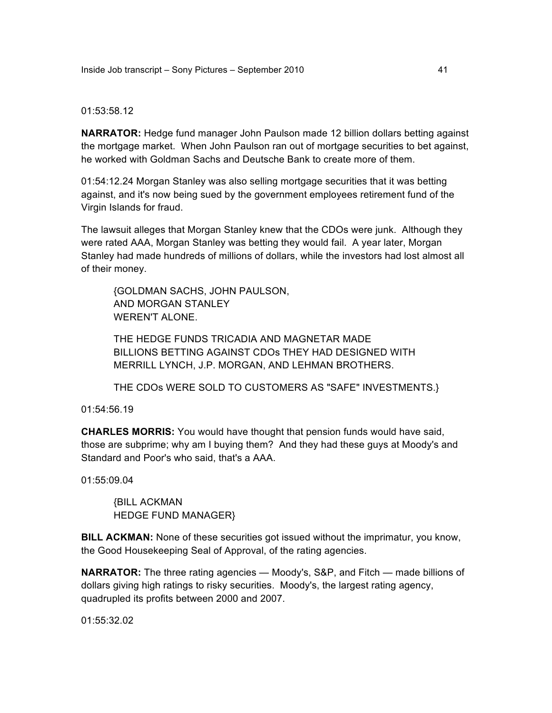### 01:53:58.12

**NARRATOR:** Hedge fund manager John Paulson made 12 billion dollars betting against the mortgage market. When John Paulson ran out of mortgage securities to bet against, he worked with Goldman Sachs and Deutsche Bank to create more of them.

01:54:12.24 Morgan Stanley was also selling mortgage securities that it was betting against, and it's now being sued by the government employees retirement fund of the Virgin Islands for fraud.

The lawsuit alleges that Morgan Stanley knew that the CDOs were junk. Although they were rated AAA, Morgan Stanley was betting they would fail. A year later, Morgan Stanley had made hundreds of millions of dollars, while the investors had lost almost all of their money.

{GOLDMAN SACHS, JOHN PAULSON, AND MORGAN STANLEY WEREN'T ALONE.

THE HEDGE FUNDS TRICADIA AND MAGNETAR MADE BILLIONS BETTING AGAINST CDOs THEY HAD DESIGNED WITH MERRILL LYNCH, J.P. MORGAN, AND LEHMAN BROTHERS.

THE CDOs WERE SOLD TO CUSTOMERS AS "SAFE" INVESTMENTS.}

01:54:56.19

**CHARLES MORRIS:** You would have thought that pension funds would have said, those are subprime; why am I buying them? And they had these guys at Moody's and Standard and Poor's who said, that's a AAA.

01:55:09.04

{BILL ACKMAN HEDGE FUND MANAGER}

**BILL ACKMAN:** None of these securities got issued without the imprimatur, you know, the Good Housekeeping Seal of Approval, of the rating agencies.

**NARRATOR:** The three rating agencies — Moody's, S&P, and Fitch — made billions of dollars giving high ratings to risky securities. Moody's, the largest rating agency, quadrupled its profits between 2000 and 2007.

01:55:32.02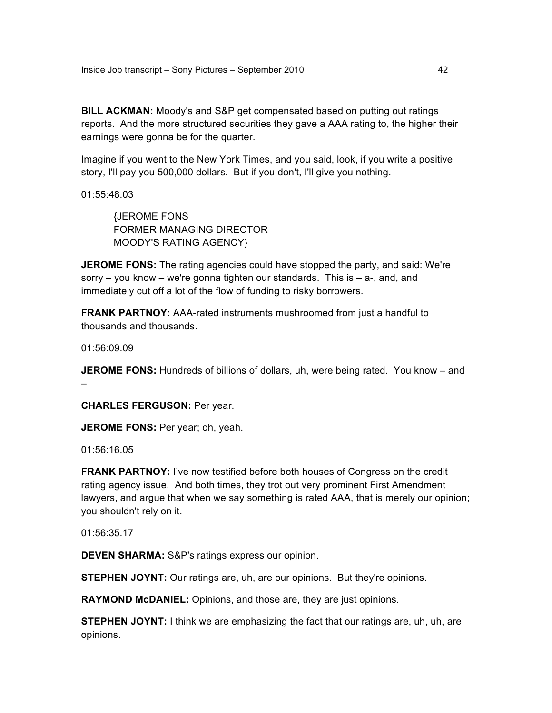Inside Job transcript – Sony Pictures – September 2010 42

**BILL ACKMAN:** Moody's and S&P get compensated based on putting out ratings reports. And the more structured securities they gave a AAA rating to, the higher their earnings were gonna be for the quarter.

Imagine if you went to the New York Times, and you said, look, if you write a positive story, I'll pay you 500,000 dollars. But if you don't, I'll give you nothing.

01:55:48.03

{JEROME FONS FORMER MANAGING DIRECTOR MOODY'S RATING AGENCY}

**JEROME FONS:** The rating agencies could have stopped the party, and said: We're sorry  $-$  you know  $-$  we're gonna tighten our standards. This is  $-$  a-, and, and immediately cut off a lot of the flow of funding to risky borrowers.

**FRANK PARTNOY:** AAA-rated instruments mushroomed from just a handful to thousands and thousands.

01:56:09.09

**JEROME FONS:** Hundreds of billions of dollars, uh, were being rated. You know – and –

**CHARLES FERGUSON:** Per year.

**JEROME FONS: Per year; oh, yeah.** 

01:56:16.05

**FRANK PARTNOY:** I've now testified before both houses of Congress on the credit rating agency issue. And both times, they trot out very prominent First Amendment lawyers, and argue that when we say something is rated AAA, that is merely our opinion; you shouldn't rely on it.

01:56:35.17

**DEVEN SHARMA:** S&P's ratings express our opinion.

**STEPHEN JOYNT:** Our ratings are, uh, are our opinions. But they're opinions.

**RAYMOND McDANIEL:** Opinions, and those are, they are just opinions.

**STEPHEN JOYNT:** I think we are emphasizing the fact that our ratings are, uh, uh, are opinions.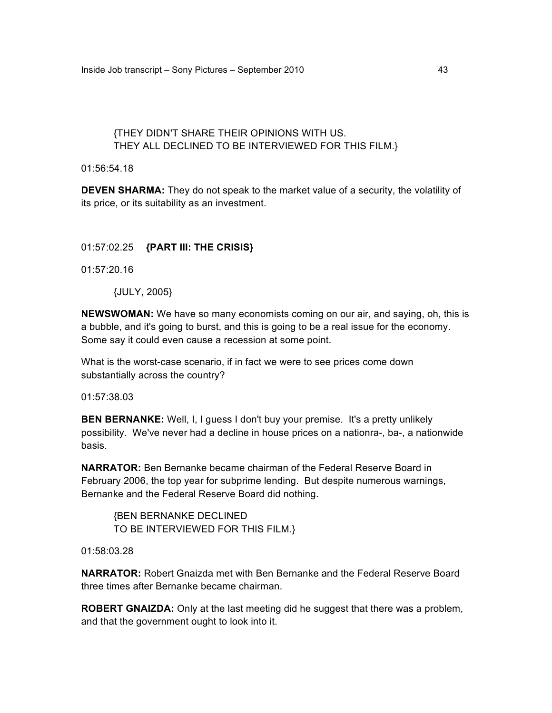# {THEY DIDN'T SHARE THEIR OPINIONS WITH US. THEY ALL DECLINED TO BE INTERVIEWED FOR THIS FILM.}

01:56:54.18

**DEVEN SHARMA:** They do not speak to the market value of a security, the volatility of its price, or its suitability as an investment.

## 01:57:02.25 **{PART III: THE CRISIS}**

01:57:20.16

{JULY, 2005}

**NEWSWOMAN:** We have so many economists coming on our air, and saying, oh, this is a bubble, and it's going to burst, and this is going to be a real issue for the economy. Some say it could even cause a recession at some point.

What is the worst-case scenario, if in fact we were to see prices come down substantially across the country?

01:57:38.03

**BEN BERNANKE:** Well, I, I guess I don't buy your premise. It's a pretty unlikely possibility. We've never had a decline in house prices on a nationra-, ba-, a nationwide basis.

**NARRATOR:** Ben Bernanke became chairman of the Federal Reserve Board in February 2006, the top year for subprime lending. But despite numerous warnings, Bernanke and the Federal Reserve Board did nothing.

{BEN BERNANKE DECLINED TO BE INTERVIEWED FOR THIS FILM.}

01:58:03.28

**NARRATOR:** Robert Gnaizda met with Ben Bernanke and the Federal Reserve Board three times after Bernanke became chairman.

**ROBERT GNAIZDA:** Only at the last meeting did he suggest that there was a problem, and that the government ought to look into it.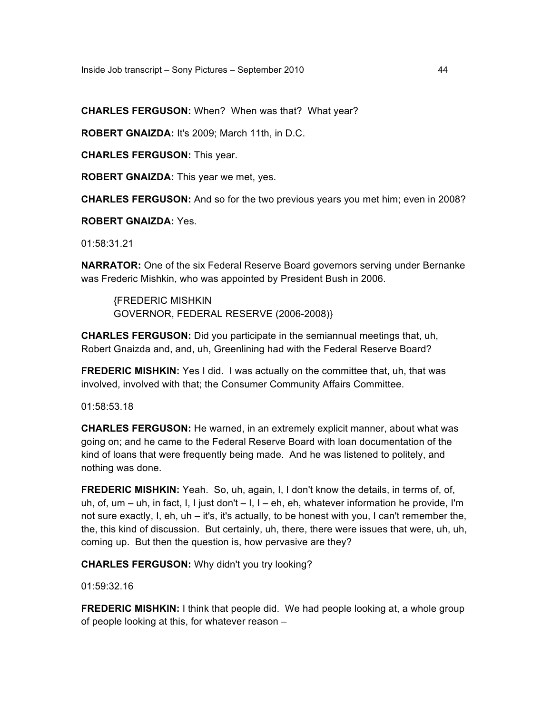**CHARLES FERGUSON:** When? When was that? What year?

**ROBERT GNAIZDA:** It's 2009; March 11th, in D.C.

**CHARLES FERGUSON:** This year.

**ROBERT GNAIZDA:** This year we met, yes.

**CHARLES FERGUSON:** And so for the two previous years you met him; even in 2008?

**ROBERT GNAIZDA:** Yes.

01:58:31.21

**NARRATOR:** One of the six Federal Reserve Board governors serving under Bernanke was Frederic Mishkin, who was appointed by President Bush in 2006.

{FREDERIC MISHKIN GOVERNOR, FEDERAL RESERVE (2006-2008)}

**CHARLES FERGUSON:** Did you participate in the semiannual meetings that, uh, Robert Gnaizda and, and, uh, Greenlining had with the Federal Reserve Board?

**FREDERIC MISHKIN:** Yes I did. I was actually on the committee that, uh, that was involved, involved with that; the Consumer Community Affairs Committee.

01:58:53.18

**CHARLES FERGUSON:** He warned, in an extremely explicit manner, about what was going on; and he came to the Federal Reserve Board with loan documentation of the kind of loans that were frequently being made. And he was listened to politely, and nothing was done.

**FREDERIC MISHKIN:** Yeah. So, uh, again, I, I don't know the details, in terms of, of, uh, of, um – uh, in fact, I, I just don't – I, I – eh, eh, whatever information he provide, I'm not sure exactly, I, eh, uh – it's, it's actually, to be honest with you, I can't remember the, the, this kind of discussion. But certainly, uh, there, there were issues that were, uh, uh, coming up. But then the question is, how pervasive are they?

**CHARLES FERGUSON:** Why didn't you try looking?

01:59:32.16

**FREDERIC MISHKIN:** I think that people did. We had people looking at, a whole group of people looking at this, for whatever reason –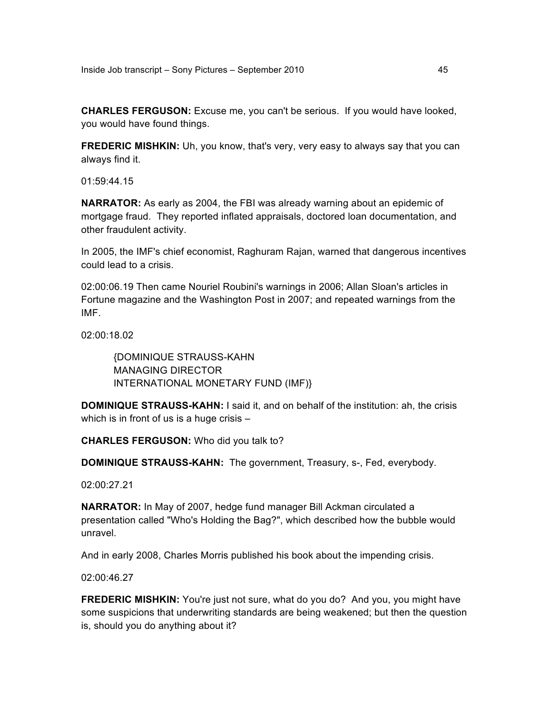**CHARLES FERGUSON:** Excuse me, you can't be serious. If you would have looked, you would have found things.

**FREDERIC MISHKIN:** Uh, you know, that's very, very easy to always say that you can always find it.

01:59:44.15

**NARRATOR:** As early as 2004, the FBI was already warning about an epidemic of mortgage fraud. They reported inflated appraisals, doctored loan documentation, and other fraudulent activity.

In 2005, the IMF's chief economist, Raghuram Rajan, warned that dangerous incentives could lead to a crisis.

02:00:06.19 Then came Nouriel Roubini's warnings in 2006; Allan Sloan's articles in Fortune magazine and the Washington Post in 2007; and repeated warnings from the IMF.

02:00:18.02

{DOMINIQUE STRAUSS-KAHN MANAGING DIRECTOR INTERNATIONAL MONETARY FUND (IMF)}

**DOMINIQUE STRAUSS-KAHN:** I said it, and on behalf of the institution: ah, the crisis which is in front of us is a huge crisis –

**CHARLES FERGUSON:** Who did you talk to?

**DOMINIQUE STRAUSS-KAHN:** The government, Treasury, s-, Fed, everybody.

02:00:27.21

**NARRATOR:** In May of 2007, hedge fund manager Bill Ackman circulated a presentation called "Who's Holding the Bag?", which described how the bubble would unravel.

And in early 2008, Charles Morris published his book about the impending crisis.

02:00:46.27

**FREDERIC MISHKIN:** You're just not sure, what do you do? And you, you might have some suspicions that underwriting standards are being weakened; but then the question is, should you do anything about it?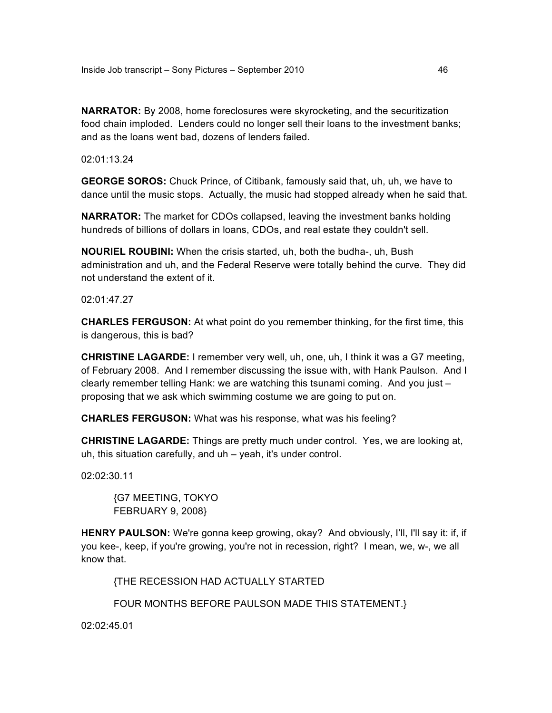**NARRATOR:** By 2008, home foreclosures were skyrocketing, and the securitization food chain imploded. Lenders could no longer sell their loans to the investment banks; and as the loans went bad, dozens of lenders failed.

02:01:13.24

**GEORGE SOROS:** Chuck Prince, of Citibank, famously said that, uh, uh, we have to dance until the music stops. Actually, the music had stopped already when he said that.

**NARRATOR:** The market for CDOs collapsed, leaving the investment banks holding hundreds of billions of dollars in loans, CDOs, and real estate they couldn't sell.

**NOURIEL ROUBINI:** When the crisis started, uh, both the budha-, uh, Bush administration and uh, and the Federal Reserve were totally behind the curve. They did not understand the extent of it.

02:01:47.27

**CHARLES FERGUSON:** At what point do you remember thinking, for the first time, this is dangerous, this is bad?

**CHRISTINE LAGARDE:** I remember very well, uh, one, uh, I think it was a G7 meeting, of February 2008. And I remember discussing the issue with, with Hank Paulson. And I clearly remember telling Hank: we are watching this tsunami coming. And you just – proposing that we ask which swimming costume we are going to put on.

**CHARLES FERGUSON:** What was his response, what was his feeling?

**CHRISTINE LAGARDE:** Things are pretty much under control. Yes, we are looking at, uh, this situation carefully, and uh – yeah, it's under control.

02:02:30.11

{G7 MEETING, TOKYO FEBRUARY 9, 2008}

**HENRY PAULSON:** We're gonna keep growing, okay? And obviously, I'll, I'll say it: if, if you kee-, keep, if you're growing, you're not in recession, right? I mean, we, w-, we all know that.

{THE RECESSION HAD ACTUALLY STARTED

FOUR MONTHS BEFORE PAULSON MADE THIS STATEMENT.}

02:02:45.01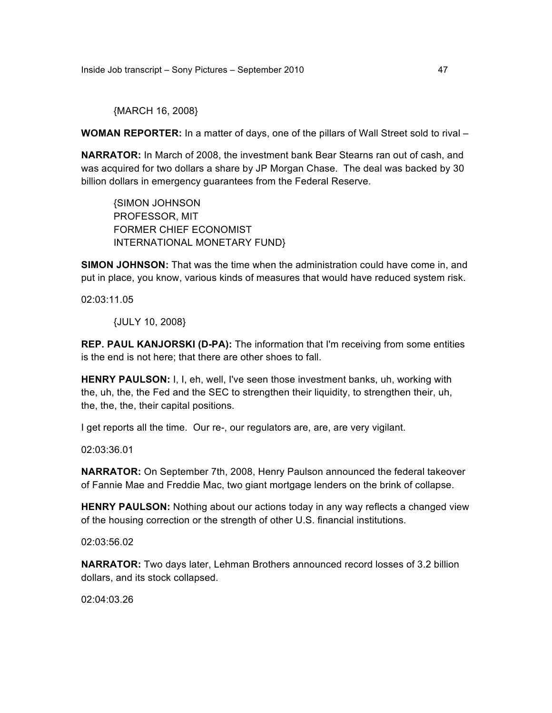{MARCH 16, 2008}

**WOMAN REPORTER:** In a matter of days, one of the pillars of Wall Street sold to rival –

**NARRATOR:** In March of 2008, the investment bank Bear Stearns ran out of cash, and was acquired for two dollars a share by JP Morgan Chase. The deal was backed by 30 billion dollars in emergency guarantees from the Federal Reserve.

{SIMON JOHNSON PROFESSOR, MIT FORMER CHIEF ECONOMIST INTERNATIONAL MONETARY FUND}

**SIMON JOHNSON:** That was the time when the administration could have come in, and put in place, you know, various kinds of measures that would have reduced system risk.

02:03:11.05

{JULY 10, 2008}

**REP. PAUL KANJORSKI (D-PA):** The information that I'm receiving from some entities is the end is not here; that there are other shoes to fall.

**HENRY PAULSON:** I, I, eh, well, I've seen those investment banks, uh, working with the, uh, the, the Fed and the SEC to strengthen their liquidity, to strengthen their, uh, the, the, the, their capital positions.

I get reports all the time. Our re-, our regulators are, are, are very vigilant.

02:03:36.01

**NARRATOR:** On September 7th, 2008, Henry Paulson announced the federal takeover of Fannie Mae and Freddie Mac, two giant mortgage lenders on the brink of collapse.

**HENRY PAULSON:** Nothing about our actions today in any way reflects a changed view of the housing correction or the strength of other U.S. financial institutions.

02:03:56.02

**NARRATOR:** Two days later, Lehman Brothers announced record losses of 3.2 billion dollars, and its stock collapsed.

02:04:03.26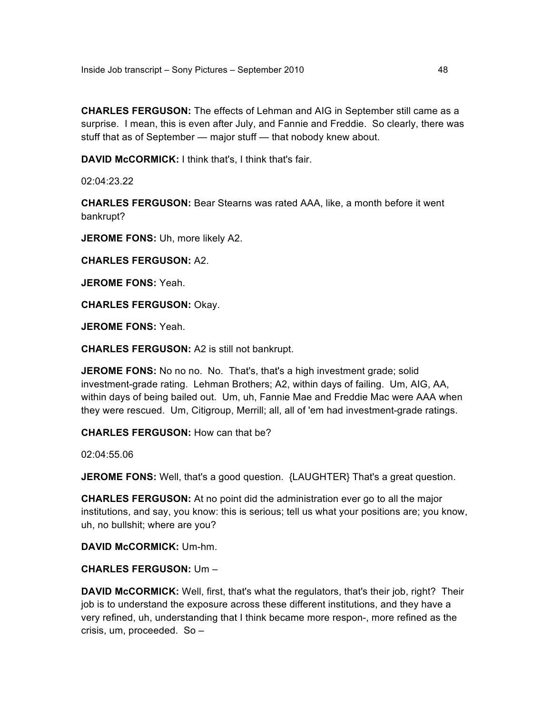**CHARLES FERGUSON:** The effects of Lehman and AIG in September still came as a surprise. I mean, this is even after July, and Fannie and Freddie. So clearly, there was stuff that as of September — major stuff — that nobody knew about.

**DAVID McCORMICK:** I think that's, I think that's fair.

02:04:23.22

**CHARLES FERGUSON:** Bear Stearns was rated AAA, like, a month before it went bankrupt?

**JEROME FONS:** Uh, more likely A2.

**CHARLES FERGUSON:** A2.

**JEROME FONS:** Yeah.

**CHARLES FERGUSON:** Okay.

**JEROME FONS:** Yeah.

**CHARLES FERGUSON:** A2 is still not bankrupt.

**JEROME FONS:** No no no. No. That's, that's a high investment grade; solid investment-grade rating. Lehman Brothers; A2, within days of failing. Um, AIG, AA, within days of being bailed out. Um, uh, Fannie Mae and Freddie Mac were AAA when they were rescued. Um, Citigroup, Merrill; all, all of 'em had investment-grade ratings.

**CHARLES FERGUSON:** How can that be?

02:04:55.06

**JEROME FONS:** Well, that's a good question. {LAUGHTER} That's a great question.

**CHARLES FERGUSON:** At no point did the administration ever go to all the major institutions, and say, you know: this is serious; tell us what your positions are; you know, uh, no bullshit; where are you?

**DAVID McCORMICK:** Um-hm.

**CHARLES FERGUSON:** Um –

**DAVID McCORMICK:** Well, first, that's what the regulators, that's their job, right? Their job is to understand the exposure across these different institutions, and they have a very refined, uh, understanding that I think became more respon-, more refined as the crisis, um, proceeded. So –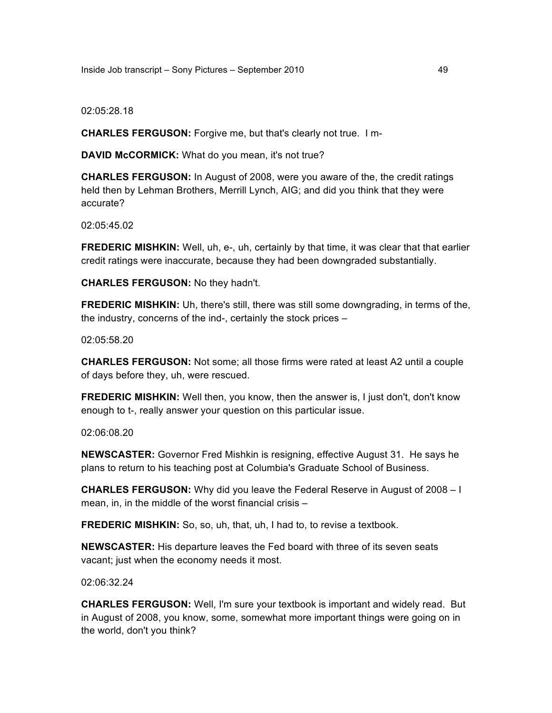Inside Job transcript – Sony Pictures – September 2010 49

02:05:28.18

**CHARLES FERGUSON:** Forgive me, but that's clearly not true. I m-

**DAVID McCORMICK:** What do you mean, it's not true?

**CHARLES FERGUSON:** In August of 2008, were you aware of the, the credit ratings held then by Lehman Brothers, Merrill Lynch, AIG; and did you think that they were accurate?

02:05:45.02

**FREDERIC MISHKIN:** Well, uh, e-, uh, certainly by that time, it was clear that that earlier credit ratings were inaccurate, because they had been downgraded substantially.

**CHARLES FERGUSON:** No they hadn't.

**FREDERIC MISHKIN:** Uh, there's still, there was still some downgrading, in terms of the, the industry, concerns of the ind-, certainly the stock prices –

02:05:58.20

**CHARLES FERGUSON:** Not some; all those firms were rated at least A2 until a couple of days before they, uh, were rescued.

**FREDERIC MISHKIN:** Well then, you know, then the answer is, I just don't, don't know enough to t-, really answer your question on this particular issue.

02:06:08.20

**NEWSCASTER:** Governor Fred Mishkin is resigning, effective August 31. He says he plans to return to his teaching post at Columbia's Graduate School of Business.

**CHARLES FERGUSON:** Why did you leave the Federal Reserve in August of 2008 – I mean, in, in the middle of the worst financial crisis –

**FREDERIC MISHKIN:** So, so, uh, that, uh, I had to, to revise a textbook.

**NEWSCASTER:** His departure leaves the Fed board with three of its seven seats vacant; just when the economy needs it most.

02:06:32.24

**CHARLES FERGUSON:** Well, I'm sure your textbook is important and widely read. But in August of 2008, you know, some, somewhat more important things were going on in the world, don't you think?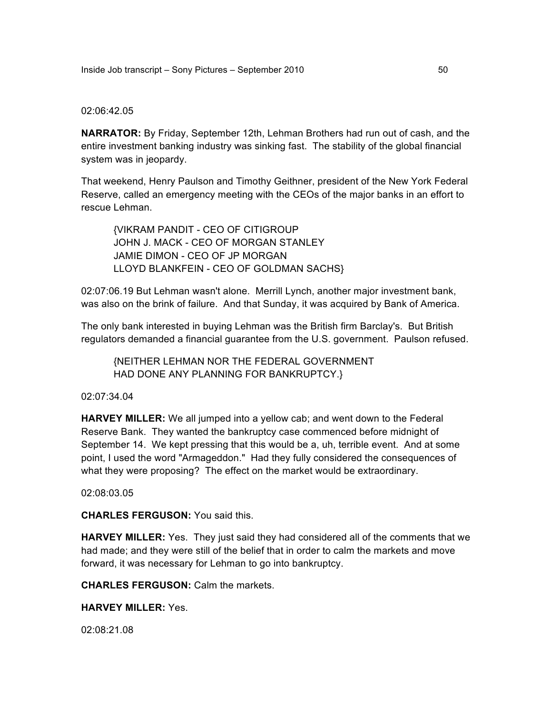#### 02:06:42.05

**NARRATOR:** By Friday, September 12th, Lehman Brothers had run out of cash, and the entire investment banking industry was sinking fast. The stability of the global financial system was in jeopardy.

That weekend, Henry Paulson and Timothy Geithner, president of the New York Federal Reserve, called an emergency meeting with the CEOs of the major banks in an effort to rescue Lehman.

{VIKRAM PANDIT - CEO OF CITIGROUP JOHN J. MACK - CEO OF MORGAN STANLEY JAMIE DIMON - CEO OF JP MORGAN LLOYD BLANKFEIN - CEO OF GOLDMAN SACHS}

02:07:06.19 But Lehman wasn't alone. Merrill Lynch, another major investment bank, was also on the brink of failure. And that Sunday, it was acquired by Bank of America.

The only bank interested in buying Lehman was the British firm Barclay's. But British regulators demanded a financial guarantee from the U.S. government. Paulson refused.

{NEITHER LEHMAN NOR THE FEDERAL GOVERNMENT HAD DONE ANY PLANNING FOR BANKRUPTCY.}

## 02:07:34.04

**HARVEY MILLER:** We all jumped into a yellow cab; and went down to the Federal Reserve Bank. They wanted the bankruptcy case commenced before midnight of September 14. We kept pressing that this would be a, uh, terrible event. And at some point, I used the word "Armageddon." Had they fully considered the consequences of what they were proposing? The effect on the market would be extraordinary.

02:08:03.05

**CHARLES FERGUSON:** You said this.

**HARVEY MILLER:** Yes. They just said they had considered all of the comments that we had made; and they were still of the belief that in order to calm the markets and move forward, it was necessary for Lehman to go into bankruptcy.

**CHARLES FERGUSON:** Calm the markets.

**HARVEY MILLER:** Yes.

02:08:21.08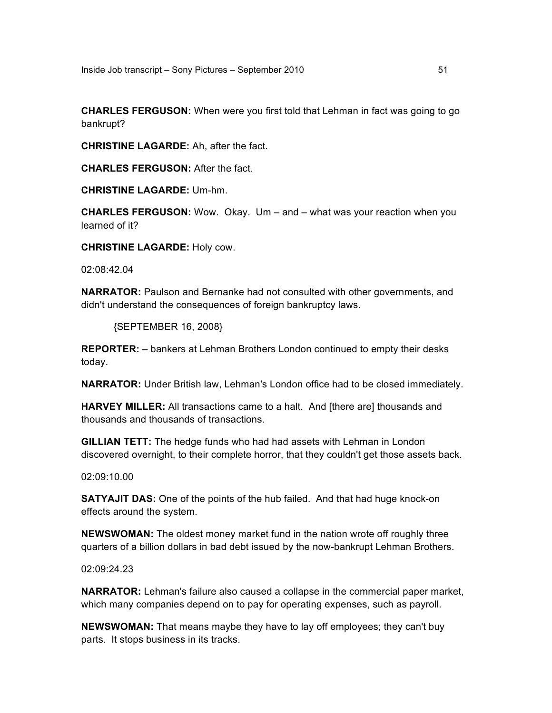**CHARLES FERGUSON:** When were you first told that Lehman in fact was going to go bankrupt?

**CHRISTINE LAGARDE:** Ah, after the fact.

**CHARLES FERGUSON:** After the fact.

**CHRISTINE LAGARDE:** Um-hm.

**CHARLES FERGUSON:** Wow. Okay. Um – and – what was your reaction when you learned of it?

**CHRISTINE LAGARDE:** Holy cow.

02:08:42.04

**NARRATOR:** Paulson and Bernanke had not consulted with other governments, and didn't understand the consequences of foreign bankruptcy laws.

{SEPTEMBER 16, 2008}

**REPORTER:** – bankers at Lehman Brothers London continued to empty their desks today.

**NARRATOR:** Under British law, Lehman's London office had to be closed immediately.

**HARVEY MILLER:** All transactions came to a halt. And [there are] thousands and thousands and thousands of transactions.

**GILLIAN TETT:** The hedge funds who had had assets with Lehman in London discovered overnight, to their complete horror, that they couldn't get those assets back.

02:09:10.00

**SATYAJIT DAS:** One of the points of the hub failed. And that had huge knock-on effects around the system.

**NEWSWOMAN:** The oldest money market fund in the nation wrote off roughly three quarters of a billion dollars in bad debt issued by the now-bankrupt Lehman Brothers.

02:09:24.23

**NARRATOR:** Lehman's failure also caused a collapse in the commercial paper market, which many companies depend on to pay for operating expenses, such as payroll.

**NEWSWOMAN:** That means maybe they have to lay off employees; they can't buy parts. It stops business in its tracks.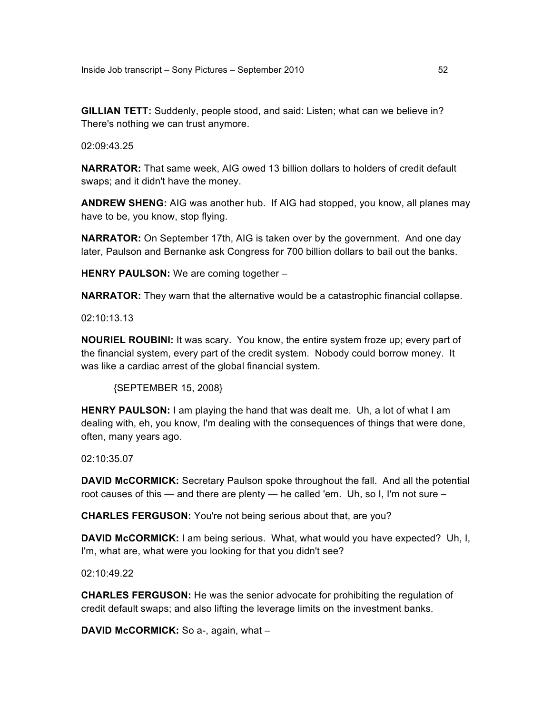**GILLIAN TETT:** Suddenly, people stood, and said: Listen; what can we believe in? There's nothing we can trust anymore.

02:09:43.25

**NARRATOR:** That same week, AIG owed 13 billion dollars to holders of credit default swaps; and it didn't have the money.

**ANDREW SHENG:** AIG was another hub. If AIG had stopped, you know, all planes may have to be, you know, stop flying.

**NARRATOR:** On September 17th, AIG is taken over by the government. And one day later, Paulson and Bernanke ask Congress for 700 billion dollars to bail out the banks.

**HENRY PAULSON:** We are coming together –

**NARRATOR:** They warn that the alternative would be a catastrophic financial collapse.

02:10:13.13

**NOURIEL ROUBINI:** It was scary. You know, the entire system froze up; every part of the financial system, every part of the credit system. Nobody could borrow money. It was like a cardiac arrest of the global financial system.

{SEPTEMBER 15, 2008}

**HENRY PAULSON:** I am playing the hand that was dealt me. Uh, a lot of what I am dealing with, eh, you know, I'm dealing with the consequences of things that were done, often, many years ago.

02:10:35.07

**DAVID McCORMICK:** Secretary Paulson spoke throughout the fall. And all the potential root causes of this — and there are plenty — he called 'em. Uh, so I, I'm not sure –

**CHARLES FERGUSON:** You're not being serious about that, are you?

**DAVID McCORMICK:** I am being serious. What, what would you have expected? Uh, I, I'm, what are, what were you looking for that you didn't see?

02:10:49.22

**CHARLES FERGUSON:** He was the senior advocate for prohibiting the regulation of credit default swaps; and also lifting the leverage limits on the investment banks.

**DAVID McCORMICK:** So a-, again, what –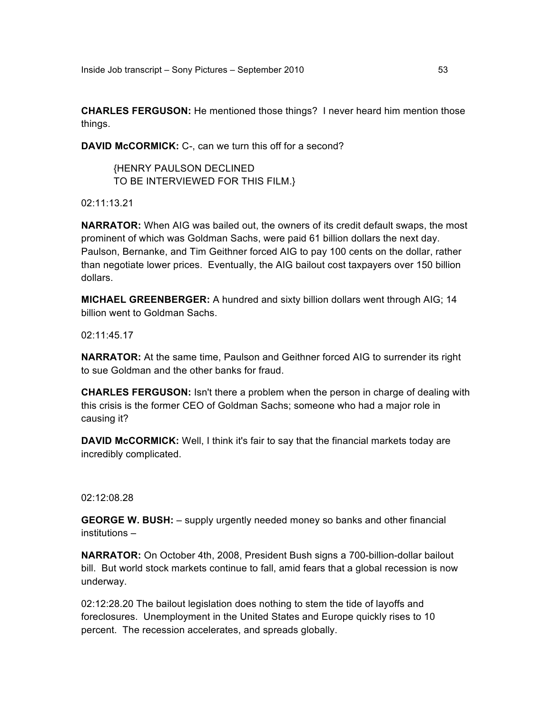**CHARLES FERGUSON:** He mentioned those things? I never heard him mention those things.

**DAVID McCORMICK:** C-, can we turn this off for a second?

{HENRY PAULSON DECLINED TO BE INTERVIEWED FOR THIS FILM.}

02:11:13.21

**NARRATOR:** When AIG was bailed out, the owners of its credit default swaps, the most prominent of which was Goldman Sachs, were paid 61 billion dollars the next day. Paulson, Bernanke, and Tim Geithner forced AIG to pay 100 cents on the dollar, rather than negotiate lower prices. Eventually, the AIG bailout cost taxpayers over 150 billion dollars.

**MICHAEL GREENBERGER:** A hundred and sixty billion dollars went through AIG; 14 billion went to Goldman Sachs.

02:11:45.17

**NARRATOR:** At the same time, Paulson and Geithner forced AIG to surrender its right to sue Goldman and the other banks for fraud.

**CHARLES FERGUSON:** Isn't there a problem when the person in charge of dealing with this crisis is the former CEO of Goldman Sachs; someone who had a major role in causing it?

**DAVID McCORMICK:** Well, I think it's fair to say that the financial markets today are incredibly complicated.

## 02:12:08.28

**GEORGE W. BUSH:** – supply urgently needed money so banks and other financial institutions –

**NARRATOR:** On October 4th, 2008, President Bush signs a 700-billion-dollar bailout bill. But world stock markets continue to fall, amid fears that a global recession is now underway.

02:12:28.20 The bailout legislation does nothing to stem the tide of layoffs and foreclosures. Unemployment in the United States and Europe quickly rises to 10 percent. The recession accelerates, and spreads globally.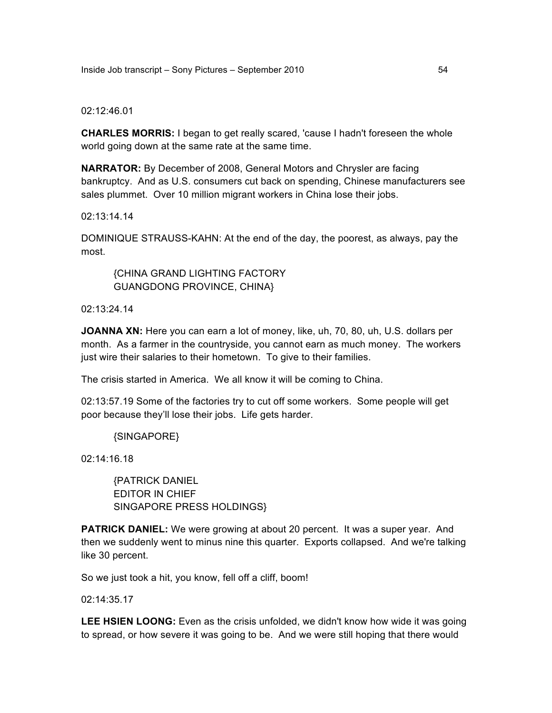#### 02:12:46.01

**CHARLES MORRIS:** I began to get really scared, 'cause I hadn't foreseen the whole world going down at the same rate at the same time.

**NARRATOR:** By December of 2008, General Motors and Chrysler are facing bankruptcy. And as U.S. consumers cut back on spending, Chinese manufacturers see sales plummet. Over 10 million migrant workers in China lose their jobs.

#### 02:13:14.14

DOMINIQUE STRAUSS-KAHN: At the end of the day, the poorest, as always, pay the most.

{CHINA GRAND LIGHTING FACTORY GUANGDONG PROVINCE, CHINA}

02:13:24.14

**JOANNA XN:** Here you can earn a lot of money, like, uh, 70, 80, uh, U.S. dollars per month. As a farmer in the countryside, you cannot earn as much money. The workers just wire their salaries to their hometown. To give to their families.

The crisis started in America. We all know it will be coming to China.

02:13:57.19 Some of the factories try to cut off some workers. Some people will get poor because they'll lose their jobs. Life gets harder.

{SINGAPORE}

02:14:16.18

{PATRICK DANIEL EDITOR IN CHIEF SINGAPORE PRESS HOLDINGS}

**PATRICK DANIEL:** We were growing at about 20 percent. It was a super year. And then we suddenly went to minus nine this quarter. Exports collapsed. And we're talking like 30 percent.

So we just took a hit, you know, fell off a cliff, boom!

02:14:35.17

**LEE HSIEN LOONG:** Even as the crisis unfolded, we didn't know how wide it was going to spread, or how severe it was going to be. And we were still hoping that there would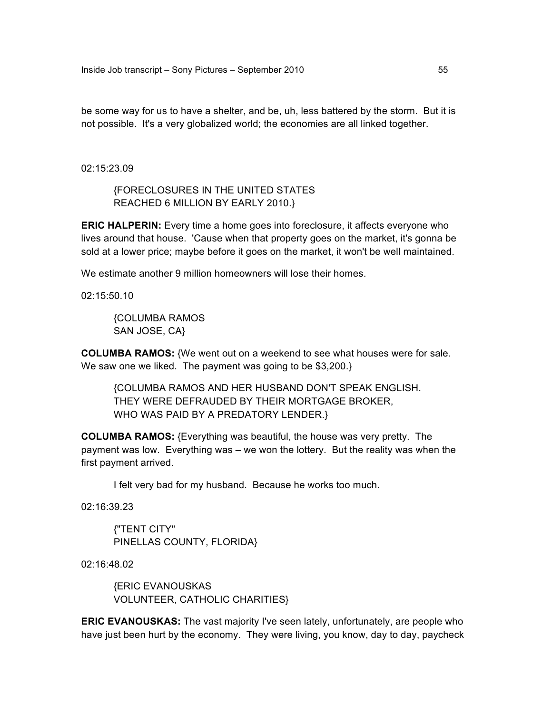be some way for us to have a shelter, and be, uh, less battered by the storm. But it is not possible. It's a very globalized world; the economies are all linked together.

02:15:23.09

{FORECLOSURES IN THE UNITED STATES REACHED 6 MILLION BY EARLY 2010.}

**ERIC HALPERIN:** Every time a home goes into foreclosure, it affects everyone who lives around that house. 'Cause when that property goes on the market, it's gonna be sold at a lower price; maybe before it goes on the market, it won't be well maintained.

We estimate another 9 million homeowners will lose their homes.

02:15:50.10

{COLUMBA RAMOS SAN JOSE, CA}

**COLUMBA RAMOS:** {We went out on a weekend to see what houses were for sale. We saw one we liked. The payment was going to be \$3,200.}

{COLUMBA RAMOS AND HER HUSBAND DON'T SPEAK ENGLISH. THEY WERE DEFRAUDED BY THEIR MORTGAGE BROKER, WHO WAS PAID BY A PREDATORY LENDER.}

**COLUMBA RAMOS:** {Everything was beautiful, the house was very pretty. The payment was low. Everything was – we won the lottery. But the reality was when the first payment arrived.

I felt very bad for my husband. Because he works too much.

02:16:39.23

{"TENT CITY" PINELLAS COUNTY, FLORIDA}

02:16:48.02

{ERIC EVANOUSKAS VOLUNTEER, CATHOLIC CHARITIES}

**ERIC EVANOUSKAS:** The vast majority I've seen lately, unfortunately, are people who have just been hurt by the economy. They were living, you know, day to day, paycheck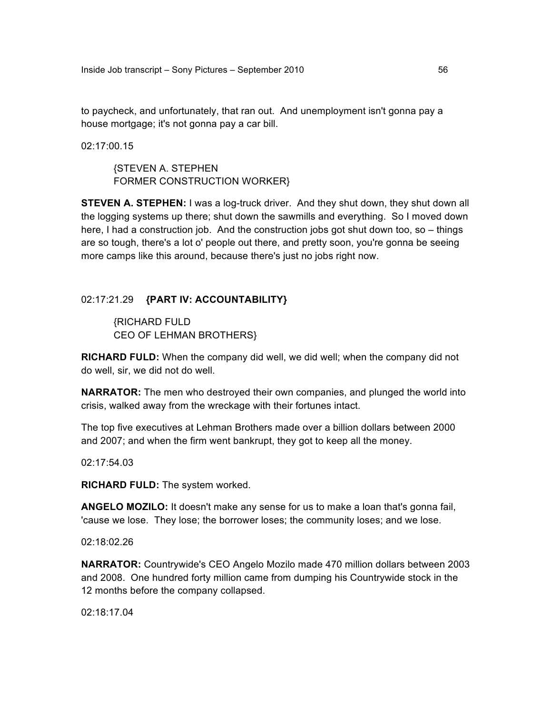to paycheck, and unfortunately, that ran out. And unemployment isn't gonna pay a house mortgage; it's not gonna pay a car bill.

02:17:00.15

{STEVEN A. STEPHEN FORMER CONSTRUCTION WORKER}

**STEVEN A. STEPHEN:** I was a log-truck driver. And they shut down, they shut down all the logging systems up there; shut down the sawmills and everything. So I moved down here, I had a construction job. And the construction jobs got shut down too, so – things are so tough, there's a lot o' people out there, and pretty soon, you're gonna be seeing more camps like this around, because there's just no jobs right now.

# 02:17:21.29 **{PART IV: ACCOUNTABILITY}**

{RICHARD FULD CEO OF LEHMAN BROTHERS}

**RICHARD FULD:** When the company did well, we did well; when the company did not do well, sir, we did not do well.

**NARRATOR:** The men who destroyed their own companies, and plunged the world into crisis, walked away from the wreckage with their fortunes intact.

The top five executives at Lehman Brothers made over a billion dollars between 2000 and 2007; and when the firm went bankrupt, they got to keep all the money.

 $02.17.54.03$ 

**RICHARD FULD:** The system worked.

**ANGELO MOZILO:** It doesn't make any sense for us to make a loan that's gonna fail, 'cause we lose. They lose; the borrower loses; the community loses; and we lose.

02:18:02.26

**NARRATOR:** Countrywide's CEO Angelo Mozilo made 470 million dollars between 2003 and 2008. One hundred forty million came from dumping his Countrywide stock in the 12 months before the company collapsed.

02:18:17.04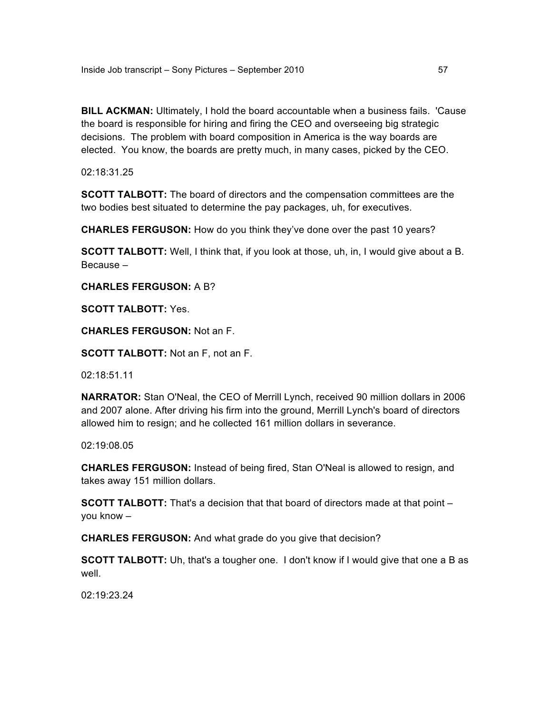**BILL ACKMAN:** Ultimately, I hold the board accountable when a business fails. 'Cause the board is responsible for hiring and firing the CEO and overseeing big strategic decisions. The problem with board composition in America is the way boards are elected. You know, the boards are pretty much, in many cases, picked by the CEO.

02:18:31.25

**SCOTT TALBOTT:** The board of directors and the compensation committees are the two bodies best situated to determine the pay packages, uh, for executives.

**CHARLES FERGUSON:** How do you think they've done over the past 10 years?

**SCOTT TALBOTT:** Well, I think that, if you look at those, uh, in, I would give about a B. Because –

**CHARLES FERGUSON:** A B?

**SCOTT TALBOTT:** Yes.

**CHARLES FERGUSON:** Not an F.

**SCOTT TALBOTT:** Not an F, not an F.

02:18:51.11

**NARRATOR:** Stan O'Neal, the CEO of Merrill Lynch, received 90 million dollars in 2006 and 2007 alone. After driving his firm into the ground, Merrill Lynch's board of directors allowed him to resign; and he collected 161 million dollars in severance.

02:19:08.05

**CHARLES FERGUSON:** Instead of being fired, Stan O'Neal is allowed to resign, and takes away 151 million dollars.

**SCOTT TALBOTT:** That's a decision that that board of directors made at that point – you know –

**CHARLES FERGUSON:** And what grade do you give that decision?

**SCOTT TALBOTT:** Uh, that's a tougher one. I don't know if I would give that one a B as well.

02:19:23.24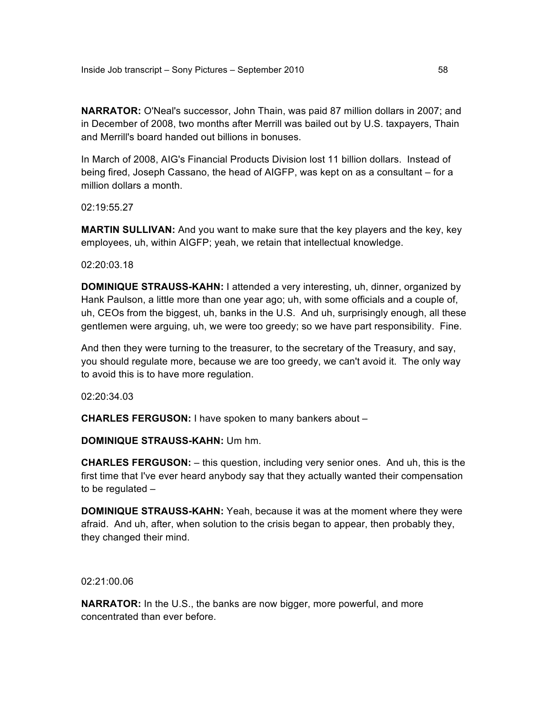**NARRATOR:** O'Neal's successor, John Thain, was paid 87 million dollars in 2007; and in December of 2008, two months after Merrill was bailed out by U.S. taxpayers, Thain and Merrill's board handed out billions in bonuses.

In March of 2008, AIG's Financial Products Division lost 11 billion dollars. Instead of being fired, Joseph Cassano, the head of AIGFP, was kept on as a consultant – for a million dollars a month.

02:19:55.27

**MARTIN SULLIVAN:** And you want to make sure that the key players and the key, key employees, uh, within AIGFP; yeah, we retain that intellectual knowledge.

02:20:03.18

**DOMINIQUE STRAUSS-KAHN:** I attended a very interesting, uh, dinner, organized by Hank Paulson, a little more than one year ago; uh, with some officials and a couple of, uh, CEOs from the biggest, uh, banks in the U.S. And uh, surprisingly enough, all these gentlemen were arguing, uh, we were too greedy; so we have part responsibility. Fine.

And then they were turning to the treasurer, to the secretary of the Treasury, and say, you should regulate more, because we are too greedy, we can't avoid it. The only way to avoid this is to have more regulation.

02:20:34.03

**CHARLES FERGUSON:** I have spoken to many bankers about –

**DOMINIQUE STRAUSS-KAHN:** Um hm.

**CHARLES FERGUSON:** – this question, including very senior ones. And uh, this is the first time that I've ever heard anybody say that they actually wanted their compensation to be regulated –

**DOMINIQUE STRAUSS-KAHN:** Yeah, because it was at the moment where they were afraid. And uh, after, when solution to the crisis began to appear, then probably they, they changed their mind.

02:21:00.06

**NARRATOR:** In the U.S., the banks are now bigger, more powerful, and more concentrated than ever before.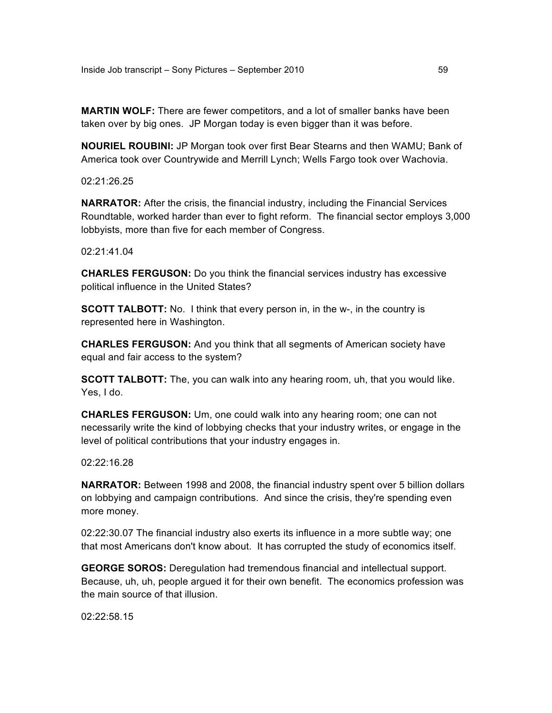**MARTIN WOLF:** There are fewer competitors, and a lot of smaller banks have been taken over by big ones. JP Morgan today is even bigger than it was before.

**NOURIEL ROUBINI:** JP Morgan took over first Bear Stearns and then WAMU; Bank of America took over Countrywide and Merrill Lynch; Wells Fargo took over Wachovia.

02:21:26.25

**NARRATOR:** After the crisis, the financial industry, including the Financial Services Roundtable, worked harder than ever to fight reform. The financial sector employs 3,000 lobbyists, more than five for each member of Congress.

02:21:41.04

**CHARLES FERGUSON:** Do you think the financial services industry has excessive political influence in the United States?

**SCOTT TALBOTT:** No. I think that every person in, in the w-, in the country is represented here in Washington.

**CHARLES FERGUSON:** And you think that all segments of American society have equal and fair access to the system?

**SCOTT TALBOTT:** The, you can walk into any hearing room, uh, that you would like. Yes, I do.

**CHARLES FERGUSON:** Um, one could walk into any hearing room; one can not necessarily write the kind of lobbying checks that your industry writes, or engage in the level of political contributions that your industry engages in.

 $02.22.16.28$ 

**NARRATOR:** Between 1998 and 2008, the financial industry spent over 5 billion dollars on lobbying and campaign contributions. And since the crisis, they're spending even more money.

02:22:30.07 The financial industry also exerts its influence in a more subtle way; one that most Americans don't know about. It has corrupted the study of economics itself.

**GEORGE SOROS:** Deregulation had tremendous financial and intellectual support. Because, uh, uh, people argued it for their own benefit. The economics profession was the main source of that illusion.

02:22:58.15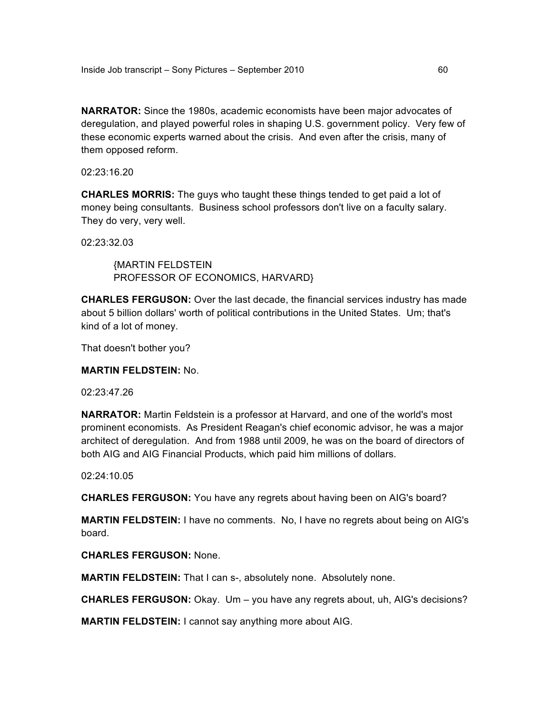**NARRATOR:** Since the 1980s, academic economists have been major advocates of deregulation, and played powerful roles in shaping U.S. government policy. Very few of these economic experts warned about the crisis. And even after the crisis, many of them opposed reform.

02:23:16.20

**CHARLES MORRIS:** The guys who taught these things tended to get paid a lot of money being consultants. Business school professors don't live on a faculty salary. They do very, very well.

02:23:32.03

{MARTIN FELDSTEIN PROFESSOR OF ECONOMICS, HARVARD}

**CHARLES FERGUSON:** Over the last decade, the financial services industry has made about 5 billion dollars' worth of political contributions in the United States. Um; that's kind of a lot of money.

That doesn't bother you?

**MARTIN FELDSTEIN:** No.

02:23:47.26

**NARRATOR:** Martin Feldstein is a professor at Harvard, and one of the world's most prominent economists. As President Reagan's chief economic advisor, he was a major architect of deregulation. And from 1988 until 2009, he was on the board of directors of both AIG and AIG Financial Products, which paid him millions of dollars.

02:24:10.05

**CHARLES FERGUSON:** You have any regrets about having been on AIG's board?

**MARTIN FELDSTEIN:** I have no comments. No, I have no regrets about being on AIG's board.

**CHARLES FERGUSON:** None.

**MARTIN FELDSTEIN:** That I can s-, absolutely none. Absolutely none.

**CHARLES FERGUSON:** Okay. Um – you have any regrets about, uh, AIG's decisions?

**MARTIN FELDSTEIN:** I cannot say anything more about AIG.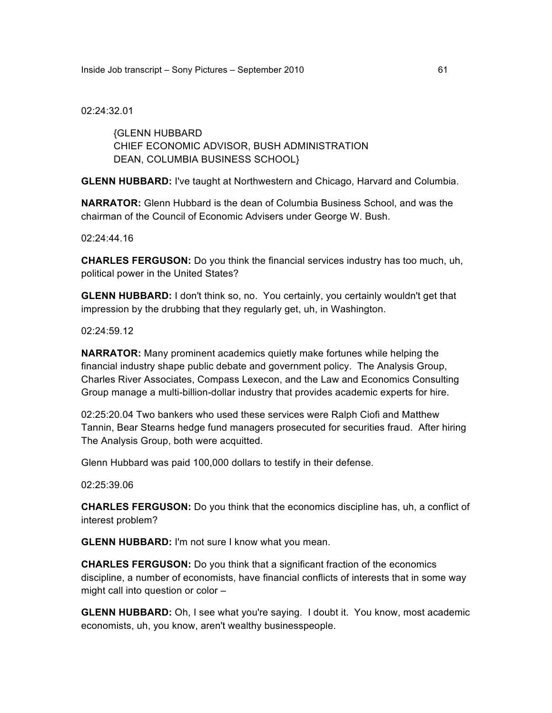02:24:32.01

{GLENN HUBBARD CHIEF ECONOMIC ADVISOR, BUSH ADMINISTRATION DEAN, COLUMBIA BUSINESS SCHOOL}

**GLENN HUBBARD:** I've taught at Northwestern and Chicago, Harvard and Columbia.

**NARRATOR:** Glenn Hubbard is the dean of Columbia Business School, and was the chairman of the Council of Economic Advisers under George W. Bush.

02:24:44.16

**CHARLES FERGUSON:** Do you think the financial services industry has too much, uh, political power in the United States?

**GLENN HUBBARD:** I don't think so, no. You certainly, you certainly wouldn't get that impression by the drubbing that they regularly get, uh, in Washington.

02:24:59.12

**NARRATOR:** Many prominent academics quietly make fortunes while helping the financial industry shape public debate and government policy. The Analysis Group, Charles River Associates, Compass Lexecon, and the Law and Economics Consulting Group manage a multi-billion-dollar industry that provides academic experts for hire.

02:25:20.04 Two bankers who used these services were Ralph Ciofi and Matthew Tannin, Bear Stearns hedge fund managers prosecuted for securities fraud. After hiring The Analysis Group, both were acquitted.

Glenn Hubbard was paid 100,000 dollars to testify in their defense.

02:25:39.06

**CHARLES FERGUSON:** Do you think that the economics discipline has, uh, a conflict of interest problem?

**GLENN HUBBARD:** I'm not sure I know what you mean.

**CHARLES FERGUSON:** Do you think that a significant fraction of the economics discipline, a number of economists, have financial conflicts of interests that in some way might call into question or color –

**GLENN HUBBARD:** Oh, I see what you're saying. I doubt it. You know, most academic economists, uh, you know, aren't wealthy businesspeople.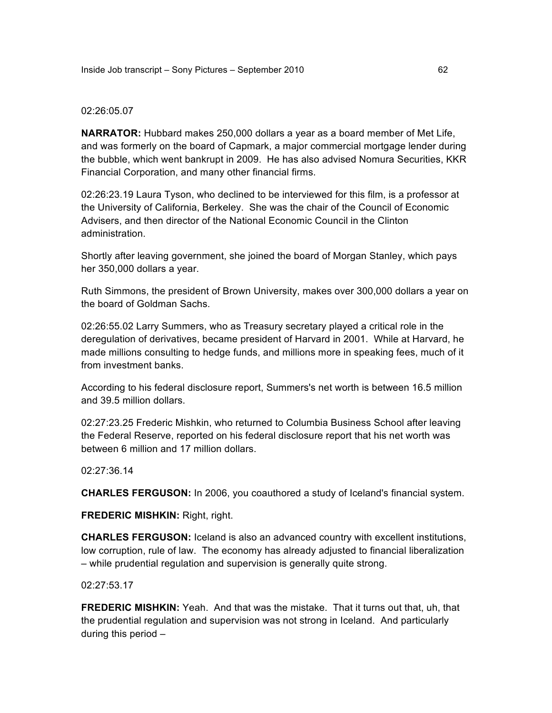### 02:26:05.07

**NARRATOR:** Hubbard makes 250,000 dollars a year as a board member of Met Life, and was formerly on the board of Capmark, a major commercial mortgage lender during the bubble, which went bankrupt in 2009. He has also advised Nomura Securities, KKR Financial Corporation, and many other financial firms.

02:26:23.19 Laura Tyson, who declined to be interviewed for this film, is a professor at the University of California, Berkeley. She was the chair of the Council of Economic Advisers, and then director of the National Economic Council in the Clinton administration.

Shortly after leaving government, she joined the board of Morgan Stanley, which pays her 350,000 dollars a year.

Ruth Simmons, the president of Brown University, makes over 300,000 dollars a year on the board of Goldman Sachs.

02:26:55.02 Larry Summers, who as Treasury secretary played a critical role in the deregulation of derivatives, became president of Harvard in 2001. While at Harvard, he made millions consulting to hedge funds, and millions more in speaking fees, much of it from investment banks.

According to his federal disclosure report, Summers's net worth is between 16.5 million and 39.5 million dollars.

02:27:23.25 Frederic Mishkin, who returned to Columbia Business School after leaving the Federal Reserve, reported on his federal disclosure report that his net worth was between 6 million and 17 million dollars.

02:27:36.14

**CHARLES FERGUSON:** In 2006, you coauthored a study of Iceland's financial system.

**FREDERIC MISHKIN:** Right, right.

**CHARLES FERGUSON:** Iceland is also an advanced country with excellent institutions, low corruption, rule of law. The economy has already adjusted to financial liberalization – while prudential regulation and supervision is generally quite strong.

02:27:53.17

**FREDERIC MISHKIN:** Yeah. And that was the mistake. That it turns out that, uh, that the prudential regulation and supervision was not strong in Iceland. And particularly during this period –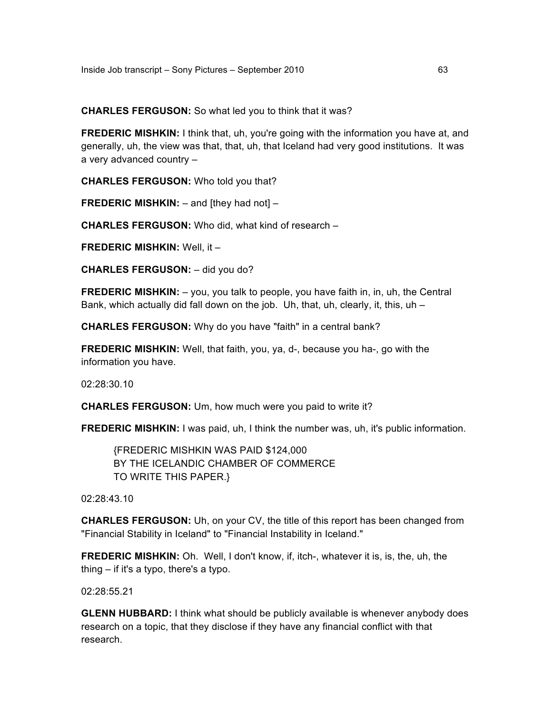**CHARLES FERGUSON:** So what led you to think that it was?

**FREDERIC MISHKIN:** I think that, uh, you're going with the information you have at, and generally, uh, the view was that, that, uh, that Iceland had very good institutions. It was a very advanced country –

**CHARLES FERGUSON:** Who told you that?

**FREDERIC MISHKIN:** – and [they had not] –

**CHARLES FERGUSON:** Who did, what kind of research –

**FREDERIC MISHKIN:** Well, it –

**CHARLES FERGUSON:** – did you do?

**FREDERIC MISHKIN:** - you, you talk to people, you have faith in, in, uh, the Central Bank, which actually did fall down on the job. Uh, that, uh, clearly, it, this,  $uh -$ 

**CHARLES FERGUSON:** Why do you have "faith" in a central bank?

**FREDERIC MISHKIN:** Well, that faith, you, ya, d-, because you ha-, go with the information you have.

02:28:30.10

**CHARLES FERGUSON:** Um, how much were you paid to write it?

**FREDERIC MISHKIN:** I was paid, uh, I think the number was, uh, it's public information.

{FREDERIC MISHKIN WAS PAID \$124,000 BY THE ICELANDIC CHAMBER OF COMMERCE TO WRITE THIS PAPER.}

02:28:43.10

**CHARLES FERGUSON:** Uh, on your CV, the title of this report has been changed from "Financial Stability in Iceland" to "Financial Instability in Iceland."

**FREDERIC MISHKIN:** Oh. Well, I don't know, if, itch-, whatever it is, is, the, uh, the thing – if it's a typo, there's a typo.

02:28:55.21

**GLENN HUBBARD:** I think what should be publicly available is whenever anybody does research on a topic, that they disclose if they have any financial conflict with that research.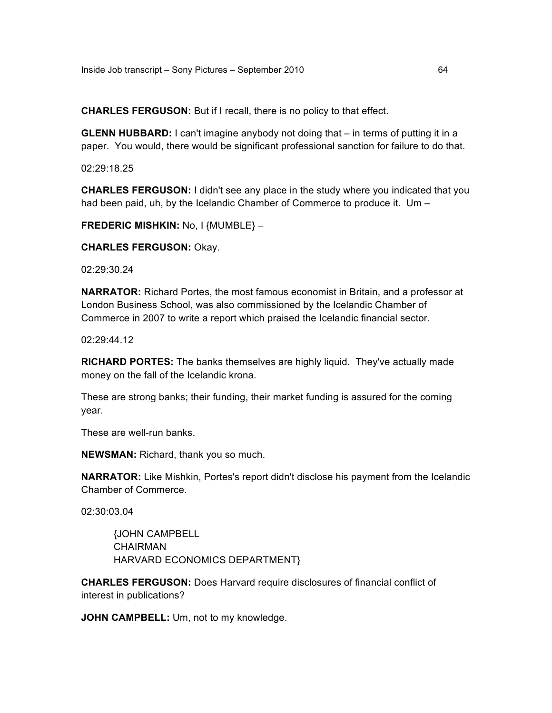**CHARLES FERGUSON:** But if I recall, there is no policy to that effect.

**GLENN HUBBARD:** I can't imagine anybody not doing that – in terms of putting it in a paper. You would, there would be significant professional sanction for failure to do that.

02:29:18.25

**CHARLES FERGUSON:** I didn't see any place in the study where you indicated that you had been paid, uh, by the Icelandic Chamber of Commerce to produce it. Um -

**FREDERIC MISHKIN:** No, I {MUMBLE} –

**CHARLES FERGUSON:** Okay.

02:29:30.24

**NARRATOR:** Richard Portes, the most famous economist in Britain, and a professor at London Business School, was also commissioned by the Icelandic Chamber of Commerce in 2007 to write a report which praised the Icelandic financial sector.

02:29:44.12

**RICHARD PORTES:** The banks themselves are highly liquid. They've actually made money on the fall of the Icelandic krona.

These are strong banks; their funding, their market funding is assured for the coming year.

These are well-run banks.

**NEWSMAN:** Richard, thank you so much.

**NARRATOR:** Like Mishkin, Portes's report didn't disclose his payment from the Icelandic Chamber of Commerce.

02:30:03.04

{JOHN CAMPBELL CHAIRMAN HARVARD ECONOMICS DEPARTMENT}

**CHARLES FERGUSON:** Does Harvard require disclosures of financial conflict of interest in publications?

**JOHN CAMPBELL:** Um, not to my knowledge.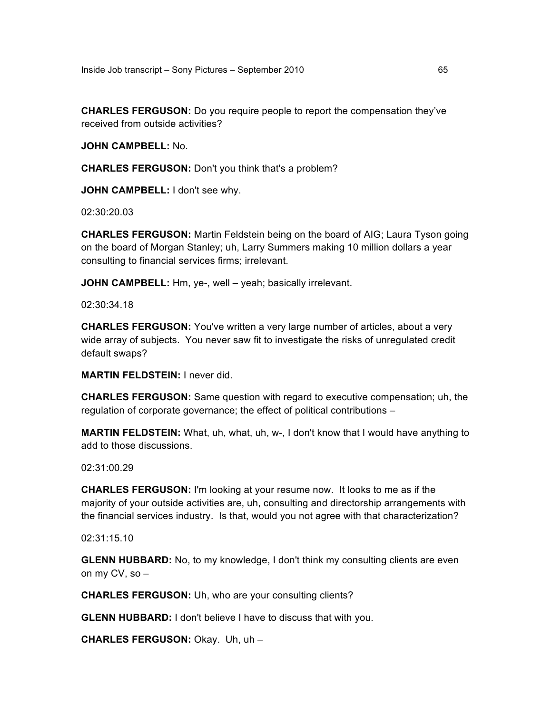**CHARLES FERGUSON:** Do you require people to report the compensation they've received from outside activities?

**JOHN CAMPBELL:** No.

**CHARLES FERGUSON:** Don't you think that's a problem?

**JOHN CAMPBELL:** I don't see why.

02:30:20.03

**CHARLES FERGUSON:** Martin Feldstein being on the board of AIG; Laura Tyson going on the board of Morgan Stanley; uh, Larry Summers making 10 million dollars a year consulting to financial services firms; irrelevant.

**JOHN CAMPBELL:** Hm, ye-, well – yeah; basically irrelevant.

02:30:34.18

**CHARLES FERGUSON:** You've written a very large number of articles, about a very wide array of subjects. You never saw fit to investigate the risks of unregulated credit default swaps?

**MARTIN FELDSTEIN:** I never did.

**CHARLES FERGUSON:** Same question with regard to executive compensation; uh, the regulation of corporate governance; the effect of political contributions –

**MARTIN FELDSTEIN:** What, uh, what, uh, w-, I don't know that I would have anything to add to those discussions.

02:31:00.29

**CHARLES FERGUSON:** I'm looking at your resume now. It looks to me as if the majority of your outside activities are, uh, consulting and directorship arrangements with the financial services industry. Is that, would you not agree with that characterization?

02:31:15.10

**GLENN HUBBARD:** No, to my knowledge, I don't think my consulting clients are even on my CV, so –

**CHARLES FERGUSON:** Uh, who are your consulting clients?

**GLENN HUBBARD:** I don't believe I have to discuss that with you.

**CHARLES FERGUSON:** Okay. Uh, uh –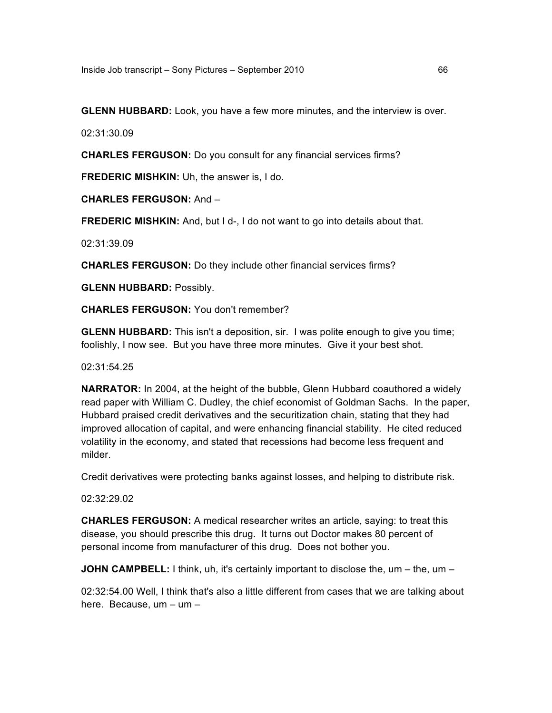**GLENN HUBBARD:** Look, you have a few more minutes, and the interview is over.

02:31:30.09

**CHARLES FERGUSON:** Do you consult for any financial services firms?

**FREDERIC MISHKIN:** Uh, the answer is, I do.

**CHARLES FERGUSON:** And –

**FREDERIC MISHKIN:** And, but I d-, I do not want to go into details about that.

02:31:39.09

**CHARLES FERGUSON:** Do they include other financial services firms?

**GLENN HUBBARD:** Possibly.

**CHARLES FERGUSON:** You don't remember?

**GLENN HUBBARD:** This isn't a deposition, sir. I was polite enough to give you time; foolishly, I now see. But you have three more minutes. Give it your best shot.

02:31:54.25

**NARRATOR:** In 2004, at the height of the bubble, Glenn Hubbard coauthored a widely read paper with William C. Dudley, the chief economist of Goldman Sachs. In the paper, Hubbard praised credit derivatives and the securitization chain, stating that they had improved allocation of capital, and were enhancing financial stability. He cited reduced volatility in the economy, and stated that recessions had become less frequent and milder.

Credit derivatives were protecting banks against losses, and helping to distribute risk.

02:32:29.02

**CHARLES FERGUSON:** A medical researcher writes an article, saying: to treat this disease, you should prescribe this drug. It turns out Doctor makes 80 percent of personal income from manufacturer of this drug. Does not bother you.

**JOHN CAMPBELL:** I think, uh, it's certainly important to disclose the, um – the, um –

02:32:54.00 Well, I think that's also a little different from cases that we are talking about here. Because, um – um –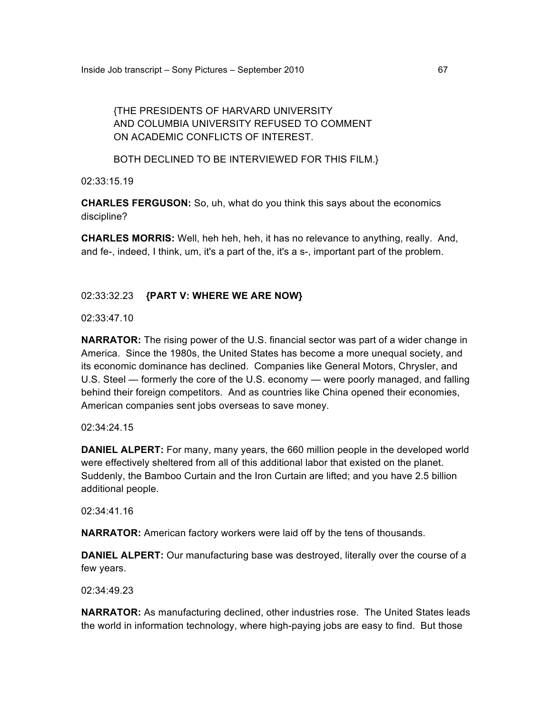# {THE PRESIDENTS OF HARVARD UNIVERSITY AND COLUMBIA UNIVERSITY REFUSED TO COMMENT ON ACADEMIC CONFLICTS OF INTEREST.

# BOTH DECLINED TO BE INTERVIEWED FOR THIS FILM.}

02:33:15.19

**CHARLES FERGUSON:** So, uh, what do you think this says about the economics discipline?

**CHARLES MORRIS:** Well, heh heh, heh, it has no relevance to anything, really. And, and fe-, indeed, I think, um, it's a part of the, it's a s-, important part of the problem.

# 02:33:32.23 **{PART V: WHERE WE ARE NOW}**

02:33:47.10

**NARRATOR:** The rising power of the U.S. financial sector was part of a wider change in America. Since the 1980s, the United States has become a more unequal society, and its economic dominance has declined. Companies like General Motors, Chrysler, and U.S. Steel — formerly the core of the U.S. economy — were poorly managed, and falling behind their foreign competitors. And as countries like China opened their economies, American companies sent jobs overseas to save money.

# 02:34:24.15

**DANIEL ALPERT:** For many, many years, the 660 million people in the developed world were effectively sheltered from all of this additional labor that existed on the planet. Suddenly, the Bamboo Curtain and the Iron Curtain are lifted; and you have 2.5 billion additional people.

02:34:41.16

**NARRATOR:** American factory workers were laid off by the tens of thousands.

**DANIEL ALPERT:** Our manufacturing base was destroyed, literally over the course of a few years.

02:34:49.23

**NARRATOR:** As manufacturing declined, other industries rose. The United States leads the world in information technology, where high-paying jobs are easy to find. But those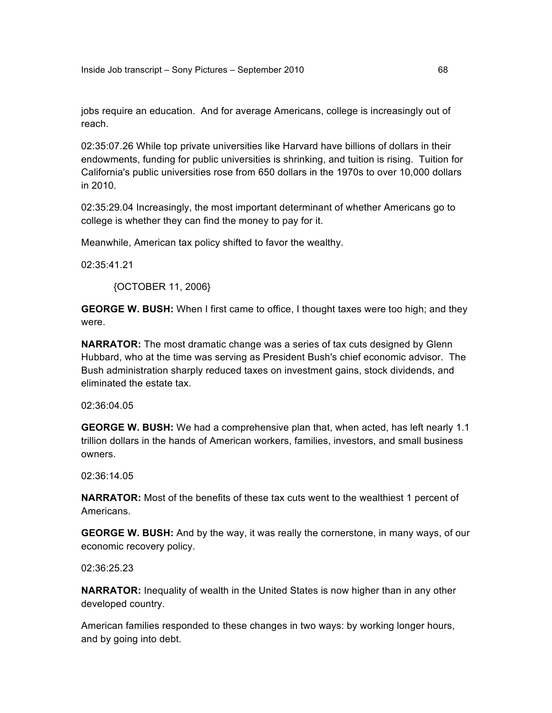jobs require an education. And for average Americans, college is increasingly out of reach.

02:35:07.26 While top private universities like Harvard have billions of dollars in their endowments, funding for public universities is shrinking, and tuition is rising. Tuition for California's public universities rose from 650 dollars in the 1970s to over 10,000 dollars in 2010.

02:35:29.04 Increasingly, the most important determinant of whether Americans go to college is whether they can find the money to pay for it.

Meanwhile, American tax policy shifted to favor the wealthy.

02:35:41.21

{OCTOBER 11, 2006}

**GEORGE W. BUSH:** When I first came to office, I thought taxes were too high; and they were.

**NARRATOR:** The most dramatic change was a series of tax cuts designed by Glenn Hubbard, who at the time was serving as President Bush's chief economic advisor. The Bush administration sharply reduced taxes on investment gains, stock dividends, and eliminated the estate tax.

02:36:04.05

**GEORGE W. BUSH:** We had a comprehensive plan that, when acted, has left nearly 1.1 trillion dollars in the hands of American workers, families, investors, and small business owners.

02:36:14.05

**NARRATOR:** Most of the benefits of these tax cuts went to the wealthiest 1 percent of Americans.

**GEORGE W. BUSH:** And by the way, it was really the cornerstone, in many ways, of our economic recovery policy.

02:36:25.23

**NARRATOR:** Inequality of wealth in the United States is now higher than in any other developed country.

American families responded to these changes in two ways: by working longer hours, and by going into debt.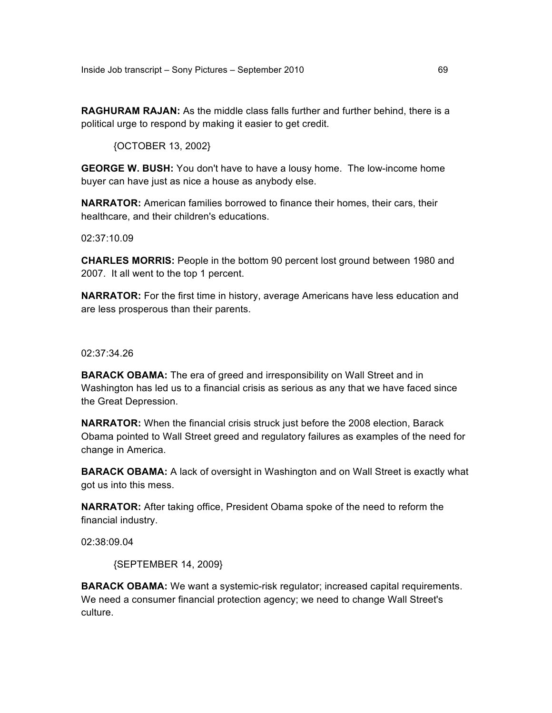**RAGHURAM RAJAN:** As the middle class falls further and further behind, there is a political urge to respond by making it easier to get credit.

{OCTOBER 13, 2002}

**GEORGE W. BUSH:** You don't have to have a lousy home. The low-income home buyer can have just as nice a house as anybody else.

**NARRATOR:** American families borrowed to finance their homes, their cars, their healthcare, and their children's educations.

02:37:10.09

**CHARLES MORRIS:** People in the bottom 90 percent lost ground between 1980 and 2007. It all went to the top 1 percent.

**NARRATOR:** For the first time in history, average Americans have less education and are less prosperous than their parents.

02:37:34.26

**BARACK OBAMA:** The era of greed and irresponsibility on Wall Street and in Washington has led us to a financial crisis as serious as any that we have faced since the Great Depression.

**NARRATOR:** When the financial crisis struck just before the 2008 election, Barack Obama pointed to Wall Street greed and regulatory failures as examples of the need for change in America.

**BARACK OBAMA:** A lack of oversight in Washington and on Wall Street is exactly what got us into this mess.

**NARRATOR:** After taking office, President Obama spoke of the need to reform the financial industry.

02:38:09.04

{SEPTEMBER 14, 2009}

**BARACK OBAMA:** We want a systemic-risk regulator; increased capital requirements. We need a consumer financial protection agency; we need to change Wall Street's culture.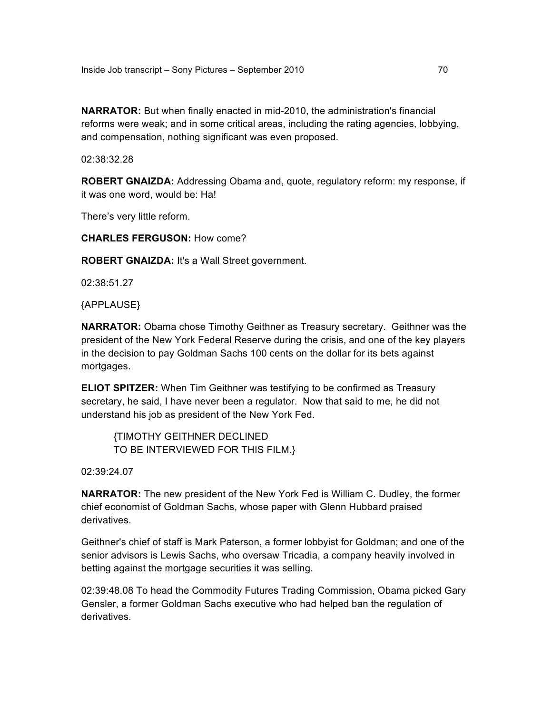**NARRATOR:** But when finally enacted in mid-2010, the administration's financial reforms were weak; and in some critical areas, including the rating agencies, lobbying, and compensation, nothing significant was even proposed.

02:38:32.28

**ROBERT GNAIZDA:** Addressing Obama and, quote, regulatory reform: my response, if it was one word, would be: Ha!

There's very little reform.

**CHARLES FERGUSON:** How come?

**ROBERT GNAIZDA:** It's a Wall Street government.

02:38:51.27

{APPLAUSE}

**NARRATOR:** Obama chose Timothy Geithner as Treasury secretary. Geithner was the president of the New York Federal Reserve during the crisis, and one of the key players in the decision to pay Goldman Sachs 100 cents on the dollar for its bets against mortgages.

**ELIOT SPITZER:** When Tim Geithner was testifying to be confirmed as Treasury secretary, he said, I have never been a regulator. Now that said to me, he did not understand his job as president of the New York Fed.

{TIMOTHY GEITHNER DECLINED TO BE INTERVIEWED FOR THIS FILM.}

02:39:24.07

**NARRATOR:** The new president of the New York Fed is William C. Dudley, the former chief economist of Goldman Sachs, whose paper with Glenn Hubbard praised derivatives.

Geithner's chief of staff is Mark Paterson, a former lobbyist for Goldman; and one of the senior advisors is Lewis Sachs, who oversaw Tricadia, a company heavily involved in betting against the mortgage securities it was selling.

02:39:48.08 To head the Commodity Futures Trading Commission, Obama picked Gary Gensler, a former Goldman Sachs executive who had helped ban the regulation of derivatives.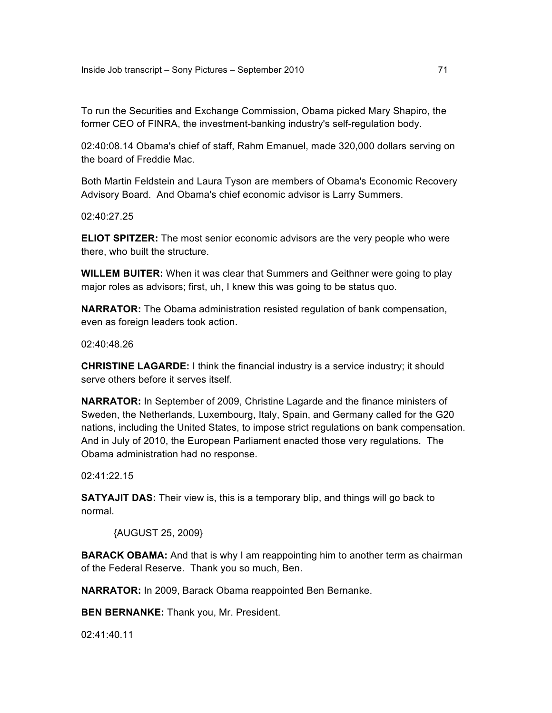To run the Securities and Exchange Commission, Obama picked Mary Shapiro, the former CEO of FINRA, the investment-banking industry's self-regulation body.

02:40:08.14 Obama's chief of staff, Rahm Emanuel, made 320,000 dollars serving on the board of Freddie Mac.

Both Martin Feldstein and Laura Tyson are members of Obama's Economic Recovery Advisory Board. And Obama's chief economic advisor is Larry Summers.

02:40:27.25

**ELIOT SPITZER:** The most senior economic advisors are the very people who were there, who built the structure.

**WILLEM BUITER:** When it was clear that Summers and Geithner were going to play major roles as advisors; first, uh, I knew this was going to be status quo.

**NARRATOR:** The Obama administration resisted regulation of bank compensation, even as foreign leaders took action.

02:40:48.26

**CHRISTINE LAGARDE:** I think the financial industry is a service industry; it should serve others before it serves itself.

**NARRATOR:** In September of 2009, Christine Lagarde and the finance ministers of Sweden, the Netherlands, Luxembourg, Italy, Spain, and Germany called for the G20 nations, including the United States, to impose strict regulations on bank compensation. And in July of 2010, the European Parliament enacted those very regulations. The Obama administration had no response.

02:41:22.15

**SATYAJIT DAS:** Their view is, this is a temporary blip, and things will go back to normal.

{AUGUST 25, 2009}

**BARACK OBAMA:** And that is why I am reappointing him to another term as chairman of the Federal Reserve. Thank you so much, Ben.

**NARRATOR:** In 2009, Barack Obama reappointed Ben Bernanke.

**BEN BERNANKE:** Thank you, Mr. President.

02:41:40.11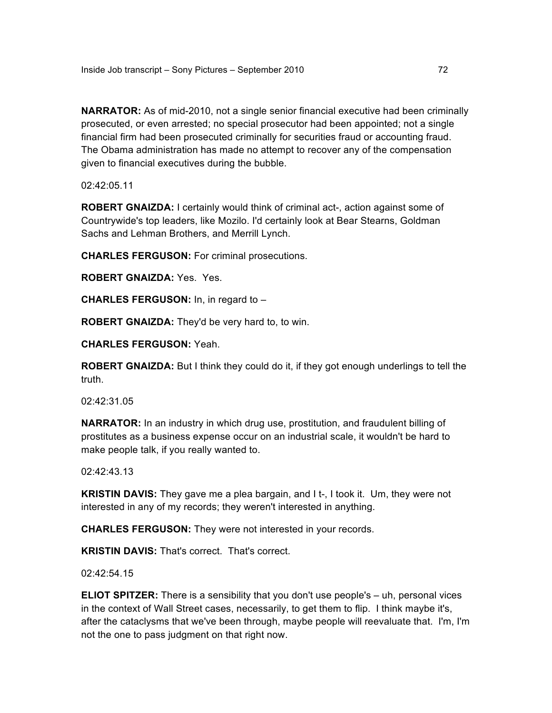**NARRATOR:** As of mid-2010, not a single senior financial executive had been criminally prosecuted, or even arrested; no special prosecutor had been appointed; not a single financial firm had been prosecuted criminally for securities fraud or accounting fraud. The Obama administration has made no attempt to recover any of the compensation given to financial executives during the bubble.

02:42:05.11

**ROBERT GNAIZDA:** I certainly would think of criminal act-, action against some of Countrywide's top leaders, like Mozilo. I'd certainly look at Bear Stearns, Goldman Sachs and Lehman Brothers, and Merrill Lynch.

**CHARLES FERGUSON:** For criminal prosecutions.

**ROBERT GNAIZDA:** Yes. Yes.

**CHARLES FERGUSON:** In, in regard to –

**ROBERT GNAIZDA:** They'd be very hard to, to win.

**CHARLES FERGUSON:** Yeah.

**ROBERT GNAIZDA:** But I think they could do it, if they got enough underlings to tell the truth.

02:42:31.05

**NARRATOR:** In an industry in which drug use, prostitution, and fraudulent billing of prostitutes as a business expense occur on an industrial scale, it wouldn't be hard to make people talk, if you really wanted to.

02:42:43.13

**KRISTIN DAVIS:** They gave me a plea bargain, and I t-, I took it. Um, they were not interested in any of my records; they weren't interested in anything.

**CHARLES FERGUSON:** They were not interested in your records.

**KRISTIN DAVIS:** That's correct. That's correct.

02:42:54.15

**ELIOT SPITZER:** There is a sensibility that you don't use people's – uh, personal vices in the context of Wall Street cases, necessarily, to get them to flip. I think maybe it's, after the cataclysms that we've been through, maybe people will reevaluate that. I'm, I'm not the one to pass judgment on that right now.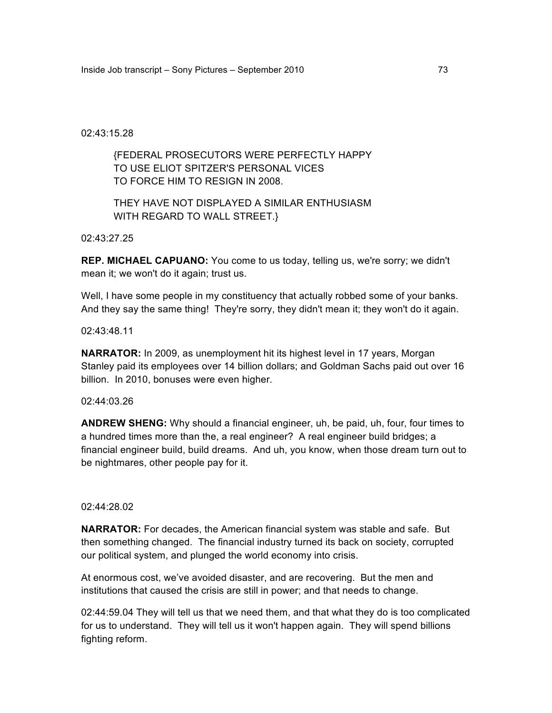### 02:43:15.28

## {FEDERAL PROSECUTORS WERE PERFECTLY HAPPY TO USE ELIOT SPITZER'S PERSONAL VICES TO FORCE HIM TO RESIGN IN 2008.

# THEY HAVE NOT DISPLAYED A SIMILAR ENTHUSIASM WITH REGARD TO WALL STREET.}

02:43:27.25

**REP. MICHAEL CAPUANO:** You come to us today, telling us, we're sorry; we didn't mean it; we won't do it again; trust us.

Well, I have some people in my constituency that actually robbed some of your banks. And they say the same thing! They're sorry, they didn't mean it; they won't do it again.

02:43:48.11

**NARRATOR:** In 2009, as unemployment hit its highest level in 17 years, Morgan Stanley paid its employees over 14 billion dollars; and Goldman Sachs paid out over 16 billion. In 2010, bonuses were even higher.

#### 02:44:03.26

**ANDREW SHENG:** Why should a financial engineer, uh, be paid, uh, four, four times to a hundred times more than the, a real engineer? A real engineer build bridges; a financial engineer build, build dreams. And uh, you know, when those dream turn out to be nightmares, other people pay for it.

#### 02:44:28.02

**NARRATOR:** For decades, the American financial system was stable and safe. But then something changed. The financial industry turned its back on society, corrupted our political system, and plunged the world economy into crisis.

At enormous cost, we've avoided disaster, and are recovering. But the men and institutions that caused the crisis are still in power; and that needs to change.

02:44:59.04 They will tell us that we need them, and that what they do is too complicated for us to understand. They will tell us it won't happen again. They will spend billions fighting reform.